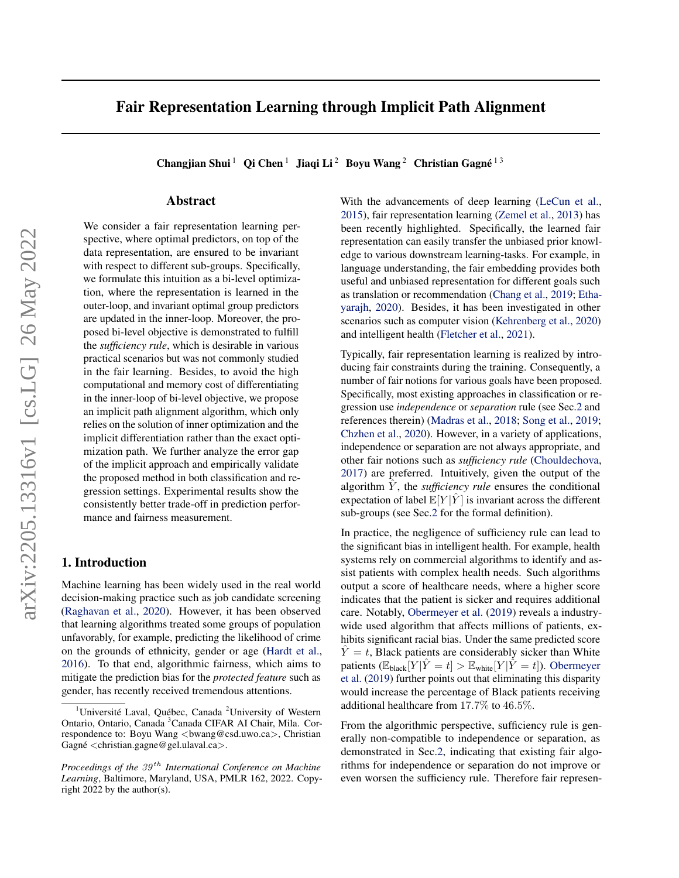# Fair Representation Learning through Implicit Path Alignment

Changjian Shui<sup>1</sup> Qi Chen<sup>1</sup> Jiaqi Li<sup>2</sup> Boyu Wang<sup>2</sup> Christian Gagné<sup>13</sup>

## Abstract

We consider a fair representation learning perspective, where optimal predictors, on top of the data representation, are ensured to be invariant with respect to different sub-groups. Specifically, we formulate this intuition as a bi-level optimization, where the representation is learned in the outer-loop, and invariant optimal group predictors are updated in the inner-loop. Moreover, the proposed bi-level objective is demonstrated to fulfill the *sufficiency rule*, which is desirable in various practical scenarios but was not commonly studied in the fair learning. Besides, to avoid the high computational and memory cost of differentiating in the inner-loop of bi-level objective, we propose an implicit path alignment algorithm, which only relies on the solution of inner optimization and the implicit differentiation rather than the exact optimization path. We further analyze the error gap of the implicit approach and empirically validate the proposed method in both classification and regression settings. Experimental results show the consistently better trade-off in prediction performance and fairness measurement.

## 1. Introduction

Machine learning has been widely used in the real world decision-making practice such as job candidate screening [\(Raghavan et al.,](#page-10-0) [2020\)](#page-10-0). However, it has been observed that learning algorithms treated some groups of population unfavorably, for example, predicting the likelihood of crime on the grounds of ethnicity, gender or age [\(Hardt et al.,](#page-9-0) [2016\)](#page-9-0). To that end, algorithmic fairness, which aims to mitigate the prediction bias for the *protected feature* such as gender, has recently received tremendous attentions.

With the advancements of deep learning [\(LeCun et al.,](#page-10-1) [2015\)](#page-10-1), fair representation learning [\(Zemel et al.,](#page-10-2) [2013\)](#page-10-2) has been recently highlighted. Specifically, the learned fair representation can easily transfer the unbiased prior knowledge to various downstream learning-tasks. For example, in language understanding, the fair embedding provides both useful and unbiased representation for different goals such as translation or recommendation [\(Chang et al.,](#page-9-1) [2019;](#page-9-1) [Etha](#page-9-2)[yarajh,](#page-9-2) [2020\)](#page-9-2). Besides, it has been investigated in other scenarios such as computer vision [\(Kehrenberg et al.,](#page-9-3) [2020\)](#page-9-3) and intelligent health [\(Fletcher et al.,](#page-9-4) [2021\)](#page-9-4).

Typically, fair representation learning is realized by introducing fair constraints during the training. Consequently, a number of fair notions for various goals have been proposed. Specifically, most existing approaches in classification or regression use *independence* or *separation* rule (see Sec[.2](#page-1-0) and references therein) [\(Madras et al.,](#page-10-3) [2018;](#page-10-3) [Song et al.,](#page-10-4) [2019;](#page-10-4) [Chzhen et al.,](#page-9-5) [2020\)](#page-9-5). However, in a variety of applications, independence or separation are not always appropriate, and other fair notions such as *sufficiency rule* [\(Chouldechova,](#page-9-6) [2017\)](#page-9-6) are preferred. Intuitively, given the output of the algorithm  $\hat{Y}$ , the *sufficiency rule* ensures the conditional expectation of label  $\mathbb{E}[Y|\hat{Y}]$  is invariant across the different sub-groups (see Sec[.2](#page-1-0) for the formal definition).

In practice, the negligence of sufficiency rule can lead to the significant bias in intelligent health. For example, health systems rely on commercial algorithms to identify and assist patients with complex health needs. Such algorithms output a score of healthcare needs, where a higher score indicates that the patient is sicker and requires additional care. Notably, [Obermeyer et al.](#page-10-5) [\(2019\)](#page-10-5) reveals a industrywide used algorithm that affects millions of patients, exhibits significant racial bias. Under the same predicted score  $\dot{Y} = t$ , Black patients are considerably sicker than White patients ( $\mathbb{E}_{\text{black}}[Y | \hat{Y} = t] > \mathbb{E}_{\text{white}}[Y | \hat{Y} = t]$ ). [Obermeyer](#page-10-5) [et al.](#page-10-5) [\(2019\)](#page-10-5) further points out that eliminating this disparity would increase the percentage of Black patients receiving additional healthcare from 17.7% to 46.5%.

From the algorithmic perspective, sufficiency rule is generally non-compatible to independence or separation, as demonstrated in Sec[.2,](#page-1-0) indicating that existing fair algorithms for independence or separation do not improve or even worsen the sufficiency rule. Therefore fair represen-

<sup>&</sup>lt;sup>1</sup>Université Laval, Québec, Canada<sup>2</sup>University of Western Ontario, Ontario, Canada <sup>3</sup>Canada CIFAR AI Chair, Mila. Correspondence to: Boyu Wang <br/>bwang@csd.uwo.ca>, Christian Gagné  $\langle$ christian.gagne@gel.ulaval.ca $\rangle$ .

*Proceedings of the*  $39<sup>th</sup>$  *International Conference on Machine Learning*, Baltimore, Maryland, USA, PMLR 162, 2022. Copyright 2022 by the author(s).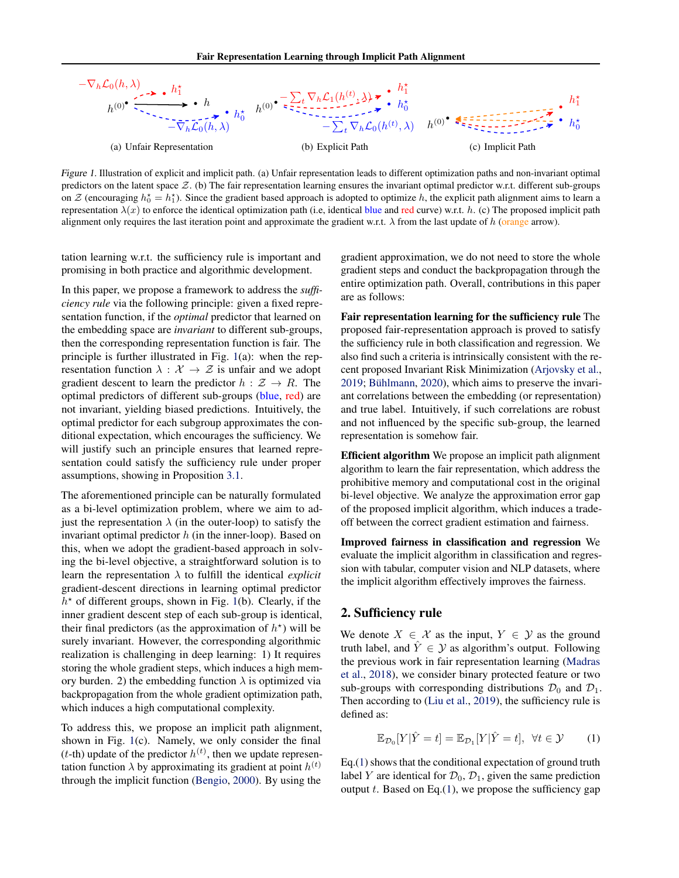

Figure 1. Illustration of explicit and implicit path. (a) Unfair representation leads to different optimization paths and non-invariant optimal predictors on the latent space  $Z$ . (b) The fair representation learning ensures the invariant optimal predictor w.r.t. different sub-groups on  $\mathcal Z$  (encouraging  $h_0^* = h_1^*$ ). Since the gradient based approach is adopted to optimize h, the explicit path alignment aims to learn a representation  $\lambda(x)$  to enforce the identical optimization path (i.e, identical blue and red curve) w.r.t. h. (c) The proposed implicit path alignment only requires the last iteration point and approximate the gradient w.r.t.  $\lambda$  from the last update of h (orange arrow).

tation learning w.r.t. the sufficiency rule is important and promising in both practice and algorithmic development.

In this paper, we propose a framework to address the *sufficiency rule* via the following principle: given a fixed representation function, if the *optimal* predictor that learned on the embedding space are *invariant* to different sub-groups, then the corresponding representation function is fair. The principle is further illustrated in Fig. [1\(](#page-1-1)a): when the representation function  $\lambda : \mathcal{X} \to \mathcal{Z}$  is unfair and we adopt gradient descent to learn the predictor  $h : \mathcal{Z} \to R$ . The optimal predictors of different sub-groups (blue, red) are not invariant, yielding biased predictions. Intuitively, the optimal predictor for each subgroup approximates the conditional expectation, which encourages the sufficiency. We will justify such an principle ensures that learned representation could satisfy the sufficiency rule under proper assumptions, showing in Proposition [3.1.](#page-3-0)

The aforementioned principle can be naturally formulated as a bi-level optimization problem, where we aim to adjust the representation  $\lambda$  (in the outer-loop) to satisfy the invariant optimal predictor  $h$  (in the inner-loop). Based on this, when we adopt the gradient-based approach in solving the bi-level objective, a straightforward solution is to learn the representation  $\lambda$  to fulfill the identical *explicit* gradient-descent directions in learning optimal predictor  $h<sup>*</sup>$  of different groups, shown in Fig. [1\(](#page-1-1)b). Clearly, if the inner gradient descent step of each sub-group is identical, their final predictors (as the approximation of  $h^*$ ) will be surely invariant. However, the corresponding algorithmic realization is challenging in deep learning: 1) It requires storing the whole gradient steps, which induces a high memory burden. 2) the embedding function  $\lambda$  is optimized via backpropagation from the whole gradient optimization path, which induces a high computational complexity.

To address this, we propose an implicit path alignment, shown in Fig. [1\(](#page-1-1)c). Namely, we only consider the final (*t*-th) update of the predictor  $h^{(t)}$ , then we update representation function  $\lambda$  by approximating its gradient at point  $h^{(t)}$ through the implicit function [\(Bengio,](#page-9-7) [2000\)](#page-9-7). By using the

<span id="page-1-1"></span>gradient approximation, we do not need to store the whole gradient steps and conduct the backpropagation through the entire optimization path. Overall, contributions in this paper are as follows:

Fair representation learning for the sufficiency rule The proposed fair-representation approach is proved to satisfy the sufficiency rule in both classification and regression. We also find such a criteria is intrinsically consistent with the recent proposed Invariant Risk Minimization [\(Arjovsky et al.,](#page-8-0) [2019;](#page-8-0) Bühlmann, [2020\)](#page-9-8), which aims to preserve the invariant correlations between the embedding (or representation) and true label. Intuitively, if such correlations are robust and not influenced by the specific sub-group, the learned representation is somehow fair.

Efficient algorithm We propose an implicit path alignment algorithm to learn the fair representation, which address the prohibitive memory and computational cost in the original bi-level objective. We analyze the approximation error gap of the proposed implicit algorithm, which induces a tradeoff between the correct gradient estimation and fairness.

Improved fairness in classification and regression We evaluate the implicit algorithm in classification and regression with tabular, computer vision and NLP datasets, where the implicit algorithm effectively improves the fairness.

## <span id="page-1-0"></span>2. Sufficiency rule

We denote  $X \in \mathcal{X}$  as the input,  $Y \in \mathcal{Y}$  as the ground truth label, and  $\hat{Y} \in \mathcal{Y}$  as algorithm's output. Following the previous work in fair representation learning [\(Madras](#page-10-3) [et al.,](#page-10-3) [2018\)](#page-10-3), we consider binary protected feature or two sub-groups with corresponding distributions  $\mathcal{D}_0$  and  $\mathcal{D}_1$ . Then according to [\(Liu et al.,](#page-10-6) [2019\)](#page-10-6), the sufficiency rule is defined as:

<span id="page-1-2"></span>
$$
\mathbb{E}_{\mathcal{D}_0}[Y|\hat{Y}=t] = \mathbb{E}_{\mathcal{D}_1}[Y|\hat{Y}=t], \ \forall t \in \mathcal{Y} \qquad (1)
$$

Eq.[\(1\)](#page-1-2) shows that the conditional expectation of ground truth label Y are identical for  $\mathcal{D}_0$ ,  $\mathcal{D}_1$ , given the same prediction output  $t$ . Based on Eq.[\(1\)](#page-1-2), we propose the sufficiency gap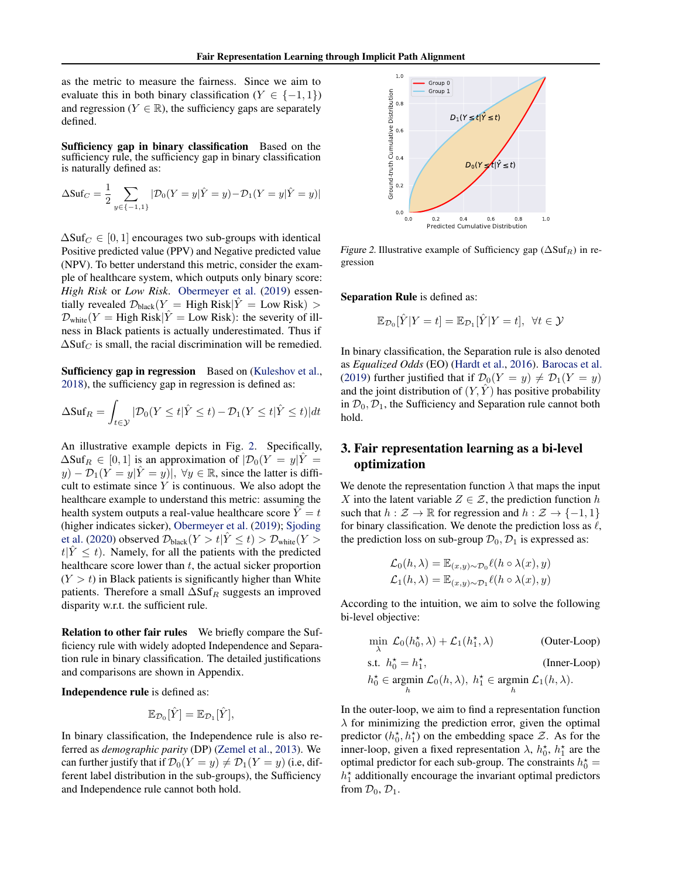as the metric to measure the fairness. Since we aim to evaluate this in both binary classification ( $Y \in \{-1, 1\}$ ) and regression ( $Y \in \mathbb{R}$ ), the sufficiency gaps are separately defined.

Sufficiency gap in binary classification Based on the sufficiency rule, the sufficiency gap in binary classification is naturally defined as:

$$
\Delta \text{Suf}_C = \frac{1}{2} \sum_{y \in \{-1, 1\}} |\mathcal{D}_0(Y = y | \hat{Y} = y) - \mathcal{D}_1(Y = y | \hat{Y} = y)|
$$

 $\Delta \text{Suf}_C \in [0,1]$  encourages two sub-groups with identical Positive predicted value (PPV) and Negative predicted value (NPV). To better understand this metric, consider the example of healthcare system, which outputs only binary score: *High Risk* or *Low Risk*. [Obermeyer et al.](#page-10-5) [\(2019\)](#page-10-5) essentially revealed  $\mathcal{D}_{black}(Y = High Risk | \hat{Y} = Low Risk) >$  $\mathcal{D}_{white}(Y = High Risk | \hat{Y} = Low Risk)$ : the severity of illness in Black patients is actually underestimated. Thus if  $\Delta Suf_C$  is small, the racial discrimination will be remedied.

Sufficiency gap in regression Based on [\(Kuleshov et al.,](#page-10-7) [2018\)](#page-10-7), the sufficiency gap in regression is defined as:

$$
\Delta \text{Suf}_R = \int_{t \in \mathcal{Y}} |\mathcal{D}_0(Y \le t | \hat{Y} \le t) - \mathcal{D}_1(Y \le t | \hat{Y} \le t)| dt
$$

An illustrative example depicts in Fig. [2.](#page-2-0) Specifically,  $\Delta S \text{uf}_R \in [0,1]$  is an approximation of  $|\mathcal{D}_0(Y = y|\hat{Y})|$  $y$ ) –  $\mathcal{D}_1(Y = y|\hat{Y} = y)$ ,  $\forall y \in \mathbb{R}$ , since the latter is difficult to estimate since  $Y$  is continuous. We also adopt the healthcare example to understand this metric: assuming the health system outputs a real-value healthcare score  $\ddot{Y} = t$ (higher indicates sicker), [Obermeyer et al.](#page-10-5) [\(2019\)](#page-10-5); [Sjoding](#page-10-8) [et al.](#page-10-8) [\(2020\)](#page-10-8) observed  $\mathcal{D}_{black}(Y > t | \hat{Y} \le t) > \mathcal{D}_{white}(Y > t)$  $t|Y \leq t$ ). Namely, for all the patients with the predicted healthcare score lower than  $t$ , the actual sicker proportion  $(Y > t)$  in Black patients is significantly higher than White patients. Therefore a small  $\Delta S \text{uf}_R$  suggests an improved disparity w.r.t. the sufficient rule.

Relation to other fair rules We briefly compare the Sufficiency rule with widely adopted Independence and Separation rule in binary classification. The detailed justifications and comparisons are shown in Appendix.

Independence rule is defined as:

$$
\mathbb{E}_{\mathcal{D}_0}[\hat{Y}] = \mathbb{E}_{\mathcal{D}_1}[\hat{Y}],
$$

In binary classification, the Independence rule is also referred as *demographic parity* (DP) [\(Zemel et al.,](#page-10-2) [2013\)](#page-10-2). We can further justify that if  $\mathcal{D}_0(Y = y) \neq \mathcal{D}_1(Y = y)$  (i.e., different label distribution in the sub-groups), the Sufficiency and Independence rule cannot both hold.



Figure 2. Illustrative example of Sufficiency gap ( $\Delta S \text{uf}_R$ ) in regression

Separation Rule is defined as:

<span id="page-2-0"></span>
$$
\mathbb{E}_{\mathcal{D}_0}[\hat{Y}|Y=t] = \mathbb{E}_{\mathcal{D}_1}[\hat{Y}|Y=t], \ \forall t \in \mathcal{Y}
$$

In binary classification, the Separation rule is also denoted as *Equalized Odds* (EO) [\(Hardt et al.,](#page-9-0) [2016\)](#page-9-0). [Barocas et al.](#page-9-9) [\(2019\)](#page-9-9) further justified that if  $\mathcal{D}_0(Y = y) \neq \mathcal{D}_1(Y = y)$ and the joint distribution of  $(Y, \hat{Y})$  has positive probability in  $\mathcal{D}_0$ ,  $\mathcal{D}_1$ , the Sufficiency and Separation rule cannot both hold.

## 3. Fair representation learning as a bi-level optimization

We denote the representation function  $\lambda$  that maps the input X into the latent variable  $Z \in \mathcal{Z}$ , the prediction function h such that  $h : \mathcal{Z} \to \mathbb{R}$  for regression and  $h : \mathcal{Z} \to \{-1, 1\}$ for binary classification. We denote the prediction loss as  $\ell$ , the prediction loss on sub-group  $\mathcal{D}_0$ ,  $\mathcal{D}_1$  is expressed as:

$$
\mathcal{L}_0(h,\lambda) = \mathbb{E}_{(x,y)\sim\mathcal{D}_0} \ell(h \circ \lambda(x), y)
$$
  

$$
\mathcal{L}_1(h,\lambda) = \mathbb{E}_{(x,y)\sim\mathcal{D}_1} \ell(h \circ \lambda(x), y)
$$

According to the intuition, we aim to solve the following bi-level objective:

$$
\min_{\lambda} \mathcal{L}_0(h_0^*, \lambda) + \mathcal{L}_1(h_1^*, \lambda)
$$
 (Outer-Loop)  
s.t.  $h_0^* = h_1^*$ , (Inner-Loop)  
 $h_0^* \in \operatorname*{argmin}_{h} \mathcal{L}_0(h, \lambda), h_1^* \in \operatorname*{argmin}_{h} \mathcal{L}_1(h, \lambda)$ .

In the outer-loop, we aim to find a representation function  $\lambda$  for minimizing the prediction error, given the optimal predictor  $(h_0^*, h_1^*)$  on the embedding space  $\mathcal{Z}$ . As for the inner-loop, given a fixed representation  $\lambda$ ,  $h_0^*$ ,  $h_1^*$  are the optimal predictor for each sub-group. The constraints  $h_0^* =$  $h_1^*$  additionally encourage the invariant optimal predictors from  $\mathcal{D}_0$ ,  $\mathcal{D}_1$ .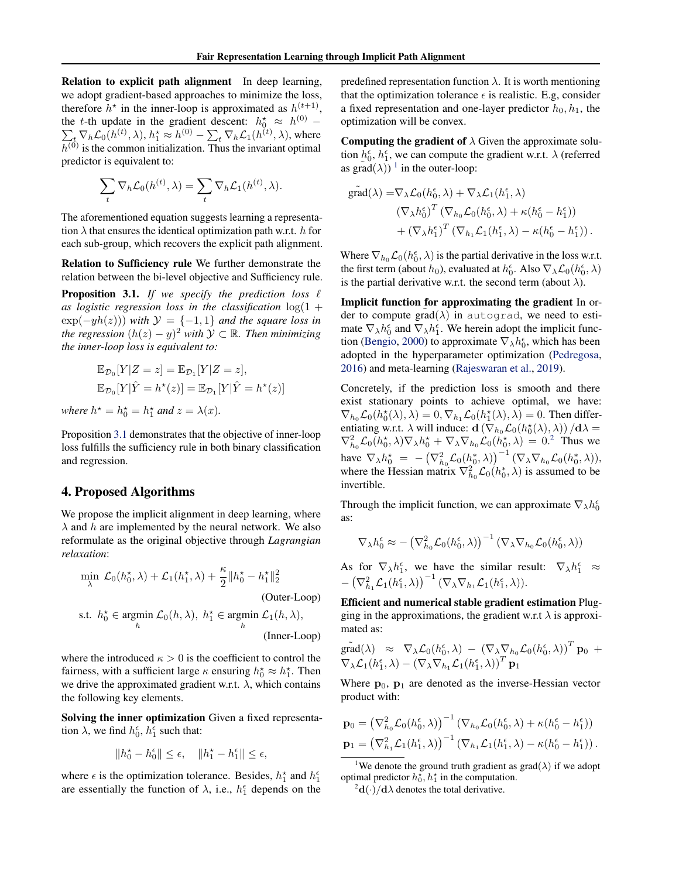Relation to explicit path alignment In deep learning, we adopt gradient-based approaches to minimize the loss, therefore  $h^*$  in the inner-loop is approximated as  $h^{(t+1)}$ , the t-th update in the gradient descent:  $h_0^* \approx h$ P  $(0)$  −  $t_{t} \nabla_h \mathcal{L}_0(h^{(t)},\lambda),$   $h_1^{\star} \approx h^{(0)} - \sum_{t} \nabla_h \mathcal{L}_1(h^{(t)},\lambda),$  where  $h^{(0)}$  is the common initialization. Thus the invariant optimal predictor is equivalent to:

$$
\sum_{t} \nabla_h \mathcal{L}_0(h^{(t)}, \lambda) = \sum_{t} \nabla_h \mathcal{L}_1(h^{(t)}, \lambda).
$$

The aforementioned equation suggests learning a representation  $\lambda$  that ensures the identical optimization path w.r.t. h for each sub-group, which recovers the explicit path alignment.

Relation to Sufficiency rule We further demonstrate the relation between the bi-level objective and Sufficiency rule.

<span id="page-3-0"></span>**Proposition 3.1.** If we specify the prediction loss  $\ell$ as logistic regression loss in the classification  $log(1 +$  $\exp(-yh(z))$  *with*  $\mathcal{Y} = \{-1,1\}$  *and the square loss in the regression*  $(h(z) − y)^2$  *with*  $\mathcal{Y} \subset \mathbb{R}$ *. Then minimizing the inner-loop loss is equivalent to:*

$$
\mathbb{E}_{\mathcal{D}_0}[Y|Z=z] = \mathbb{E}_{\mathcal{D}_1}[Y|Z=z],
$$
  

$$
\mathbb{E}_{\mathcal{D}_0}[Y|\hat{Y}=h^*(z)] = \mathbb{E}_{\mathcal{D}_1}[Y|\hat{Y}=h^*(z)]
$$

*where*  $h^* = h_0^* = h_1^*$  *and*  $z = \lambda(x)$ *.* 

Proposition [3.1](#page-3-0) demonstrates that the objective of inner-loop loss fulfills the sufficiency rule in both binary classification and regression.

## 4. Proposed Algorithms

We propose the implicit alignment in deep learning, where  $\lambda$  and h are implemented by the neural network. We also reformulate as the original objective through *Lagrangian relaxation*:

$$
\min_{\lambda} \mathcal{L}_0(h_0^{\star}, \lambda) + \mathcal{L}_1(h_1^{\star}, \lambda) + \frac{\kappa}{2} \|h_0^{\star} - h_1^{\star}\|_2^2
$$
\n(Outer-Loop)  
\ns.t.  $h_0^{\star} \in \operatorname*{argmin}_{h} \mathcal{L}_0(h, \lambda), h_1^{\star} \in \operatorname*{argmin}_{h} \mathcal{L}_1(h, \lambda),$   
\n(Inner-Loop)

where the introduced  $\kappa > 0$  is the coefficient to control the fairness, with a sufficient large  $\kappa$  ensuring  $h_0^* \approx h_1^*$ . Then we drive the approximated gradient w.r.t.  $\lambda$ , which contains the following key elements.

Solving the inner optimization Given a fixed representation  $\lambda$ , we find  $h_0^{\epsilon}$ ,  $h_1^{\epsilon}$  such that:

$$
||h_0^\star-h_0^\epsilon||\leq \epsilon,\quad \|h_1^\star-h_1^\epsilon\|\leq \epsilon,
$$

where  $\epsilon$  is the optimization tolerance. Besides,  $h_1^*$  and  $h_1^{\epsilon}$ are essentially the function of  $\lambda$ , i.e.,  $h_1^{\epsilon}$  depends on the predefined representation function  $\lambda$ . It is worth mentioning that the optimization tolerance  $\epsilon$  is realistic. E.g, consider a fixed representation and one-layer predictor  $h_0, h_1$ , the optimization will be convex.

**Computing the gradient of**  $\lambda$  Given the approximate solution  $h_0^{\epsilon}$ ,  $h_1^{\epsilon}$ , we can compute the gradient w.r.t.  $\lambda$  (referred as  $\tilde{\text{grad}}(\lambda)$ <sup>[1](#page-3-1)</sup> in the outer-loop:

$$
\begin{aligned} \tilde{\text{grad}}(\lambda) =& \nabla_{\lambda} \mathcal{L}_{0} (h_{0}^{\epsilon}, \lambda) + \nabla_{\lambda} \mathcal{L}_{1} (h_{1}^{\epsilon}, \lambda) \\ & \left( \nabla_{\lambda} h_{0}^{\epsilon} \right)^{T} \left( \nabla_{h_{0}} \mathcal{L}_{0} (h_{0}^{\epsilon}, \lambda) + \kappa (h_{0}^{\epsilon} - h_{1}^{\epsilon}) \right) \\ & + \left( \nabla_{\lambda} h_{1}^{\epsilon} \right)^{T} \left( \nabla_{h_{1}} \mathcal{L}_{1} (h_{1}^{\epsilon}, \lambda) - \kappa (h_{0}^{\epsilon} - h_{1}^{\epsilon}) \right). \end{aligned}
$$

Where  $\nabla_{h_0} \mathcal{L}_0(h_0^{\epsilon}, \lambda)$  is the partial derivative in the loss w.r.t. the first term (about  $h_0$ ), evaluated at  $h_0^{\epsilon}$ . Also  $\nabla_{\lambda} \mathcal{L}_0(h_0^{\epsilon}, \lambda)$ is the partial derivative w.r.t. the second term (about  $\lambda$ ).

Implicit function for approximating the gradient In order to compute grad( $\lambda$ ) in autograd, we need to estimate  $\nabla_{\lambda} h_0^{\epsilon}$  and  $\nabla_{\lambda} h_1^{\epsilon}$ . We herein adopt the implicit func-tion [\(Bengio,](#page-9-7) [2000\)](#page-9-7) to approximate  $\nabla_{\lambda} h_0^{\epsilon}$ , which has been adopted in the hyperparameter optimization [\(Pedregosa,](#page-10-9) [2016\)](#page-10-9) and meta-learning [\(Rajeswaran et al.,](#page-10-10) [2019\)](#page-10-10).

Concretely, if the prediction loss is smooth and there exist stationary points to achieve optimal, we have:  $\nabla_{h_0} \mathcal{L}_0(h_0^*(\lambda), \lambda) = 0, \nabla_{h_1} \mathcal{L}_0(h_1^*(\lambda), \lambda) = 0$ . Then differentiating w.r.t.  $\lambda$  will induce:  $\mathbf{d}(\nabla_{h_0} \mathcal{L}_0(h_0^*(\lambda), \lambda)) / d\lambda =$  $\nabla_{h_0}^2 \mathcal{L}_0(h_0^*, \lambda) \nabla_{\lambda} h_0^* + \nabla_{\lambda} \nabla_{h_0} \mathcal{L}_0(h_0^*, \lambda) = 0.2$  $\nabla_{h_0}^2 \mathcal{L}_0(h_0^*, \lambda) \nabla_{\lambda} h_0^* + \nabla_{\lambda} \nabla_{h_0} \mathcal{L}_0(h_0^*, \lambda) = 0.2$  $\nabla_{h_0}^2 \mathcal{L}_0(h_0^*, \lambda) \nabla_{\lambda} h_0^* + \nabla_{\lambda} \nabla_{h_0} \mathcal{L}_0(h_0^*, \lambda) = 0.2$  Thus we have  $\nabla_{\lambda} h_0^* = -(\nabla_{h_0}^2 \mathcal{L}_0(h_0^*, \lambda))^{-1} (\nabla_{\lambda} \nabla_{h_0} \mathcal{L}_0(h_0^*, \lambda)),$ where the Hessian matrix  $\nabla_{h_0}^2 \mathcal{L}_0(h_0^*, \lambda)$  is assumed to be invertible.

Through the implicit function, we can approximate  $\nabla_{\lambda} h_0^{\epsilon}$ as:

$$
\nabla_{\lambda} h_0^{\epsilon} \approx -\left(\nabla_{h_0}^2 \mathcal{L}_0(h_0^{\epsilon}, \lambda)\right)^{-1} \left(\nabla_{\lambda} \nabla_{h_0} \mathcal{L}_0(h_0^{\epsilon}, \lambda)\right)
$$

As for  $\nabla_{\lambda} h_1^{\epsilon}$ , we have the similar result:  $\nabla_{\lambda} h_1^{\epsilon} \approx$  $- \left( \nabla_{h_1}^2 \mathcal{L}_1(h_1^{\epsilon}, \lambda) \right)^{-1} \left( \nabla_{\lambda} \nabla_{h_1} \mathcal{L}_1(h_1^{\epsilon}, \lambda) \right)$ 

Efficient and numerical stable gradient estimation Plugging in the approximations, the gradient w.r.t  $\lambda$  is approximated as:

$$
\begin{array}{lcl}\n\tilde{\mathsf{grad}}(\lambda) & \approx & \nabla_{\lambda} \mathcal{L}_0(h_0^\epsilon, \lambda) \, - \, \left( \nabla_{\lambda} \nabla_{h_0} \mathcal{L}_0(h_0^\epsilon, \lambda) \right)^T \mathbf{p}_0 \, + \\
\nabla_{\lambda} \mathcal{L}_1(h_1^\epsilon, \lambda) - \left( \nabla_{\lambda} \nabla_{h_1} \mathcal{L}_1(h_1^\epsilon, \lambda) \right)^T \mathbf{p}_1\n\end{array}
$$

Where  $p_0$ ,  $p_1$  are denoted as the inverse-Hessian vector product with:

$$
\mathbf{p}_0 = \left(\nabla_{h_0}^2 \mathcal{L}_0(h_0^{\epsilon}, \lambda)\right)^{-1} \left(\nabla_{h_0} \mathcal{L}_0(h_0^{\epsilon}, \lambda) + \kappa(h_0^{\epsilon} - h_1^{\epsilon})\right)
$$
  
\n
$$
\mathbf{p}_1 = \left(\nabla_{h_1}^2 \mathcal{L}_1(h_1^{\epsilon}, \lambda)\right)^{-1} \left(\nabla_{h_1} \mathcal{L}_1(h_1^{\epsilon}, \lambda) - \kappa(h_0^{\epsilon} - h_1^{\epsilon})\right).
$$

<span id="page-3-1"></span><sup>1</sup>We denote the ground truth gradient as grad( $\lambda$ ) if we adopt optimal predictor  $h_0^{\star}$ ,  $h_1^{\star}$  in the computation.

<span id="page-3-2"></span> $^{2}$ d(·)/d $\lambda$  denotes the total derivative.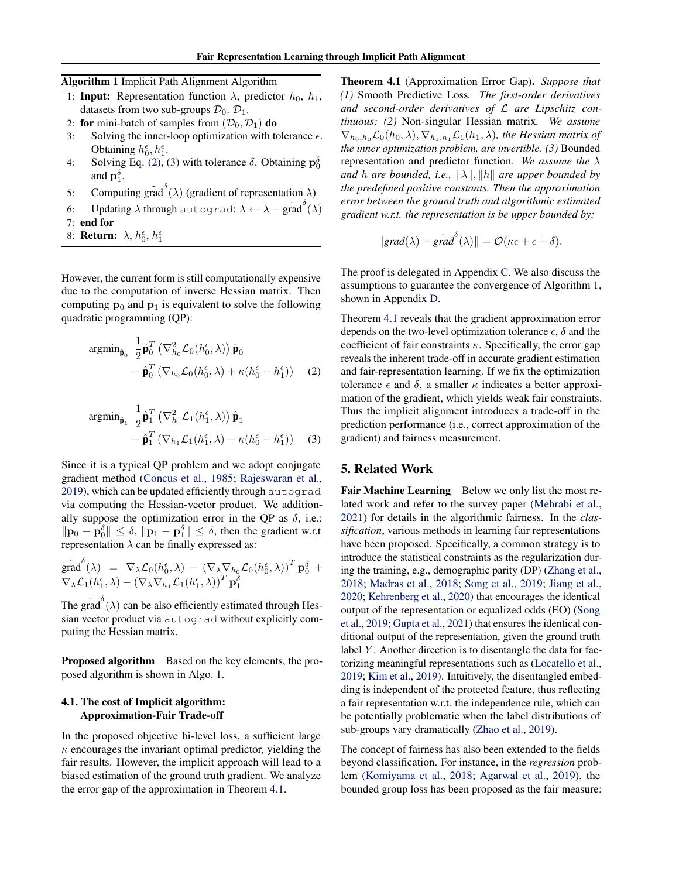Algorithm 1 Implicit Path Alignment Algorithm

- <span id="page-4-2"></span>1: **Input:** Representation function  $\lambda$ , predictor  $h_0$ ,  $h_1$ , datasets from two sub-groups  $\mathcal{D}_0$ .  $\mathcal{D}_1$ .
- 2: **for** mini-batch of samples from  $(D_0, D_1)$  **do**<br>3: Solving the inner-loop optimization with to
- Solving the inner-loop optimization with tolerance  $\epsilon$ . Obtaining  $h_0^{\epsilon}$ ,  $h_1^{\epsilon}$ .
- 4: Solving Eq. [\(2\)](#page-4-0), [\(3\)](#page-4-1) with tolerance  $\delta$ . Obtaining  $\mathbf{p}_0^{\delta}$ and  $\mathbf{p}_1^{\delta}$ .
- 5: Computing gr $\tilde{rad}^{\delta}(\lambda)$  (gradient of representation  $\lambda$ )
- 6: Updating  $\lambda$  through autograd:  $\lambda \leftarrow \lambda \tilde{\text{grad}}^{\delta}(\lambda)$
- 7: end for
- 8: **Return:**  $\lambda$ ,  $h_0^{\epsilon}$ ,  $h_1^{\epsilon}$

However, the current form is still computationally expensive due to the computation of inverse Hessian matrix. Then computing  $\mathbf{p}_0$  and  $\mathbf{p}_1$  is equivalent to solve the following quadratic programming (QP):

$$
\operatorname{argmin}_{\hat{\mathbf{p}}_0} \frac{1}{2} \hat{\mathbf{p}}_0^T \left( \nabla_{h_0}^2 \mathcal{L}_0(h_0^{\epsilon}, \lambda) \right) \hat{\mathbf{p}}_0 - \hat{\mathbf{p}}_0^T \left( \nabla_{h_0} \mathcal{L}_0(h_0^{\epsilon}, \lambda) + \kappa (h_0^{\epsilon} - h_1^{\epsilon}) \right) \tag{2}
$$

$$
\operatorname{argmin}_{\hat{\mathbf{p}}_1} \frac{1}{2} \hat{\mathbf{p}}_1^T \left( \nabla_{h_1}^2 \mathcal{L}_1(h_1^{\epsilon}, \lambda) \right) \hat{\mathbf{p}}_1 - \hat{\mathbf{p}}_1^T \left( \nabla_{h_1} \mathcal{L}_1(h_1^{\epsilon}, \lambda) - \kappa(h_0^{\epsilon} - h_1^{\epsilon}) \right)
$$
 (3)

Since it is a typical QP problem and we adopt conjugate gradient method [\(Concus et al.,](#page-9-10) [1985;](#page-9-10) [Rajeswaran et al.,](#page-10-10) [2019\)](#page-10-10), which can be updated efficiently through autograd via computing the Hessian-vector product. We additionally suppose the optimization error in the OP as  $\delta$ , i.e.:  $\|\mathbf{p}_0 - \mathbf{p}_0^{\delta}\| \leq \delta$ ,  $\|\mathbf{p}_1 - \mathbf{p}_1^{\delta}\| \leq \delta$ , then the gradient w.r.t representation  $\lambda$  can be finally expressed as:

$$
\tilde{\text{grad}}^{\delta}(\lambda) = \nabla_{\lambda} \mathcal{L}_{0}(h_{0}^{\epsilon}, \lambda) - (\nabla_{\lambda} \nabla_{h_{0}} \mathcal{L}_{0}(h_{0}^{\epsilon}, \lambda))^{T} \mathbf{p}_{0}^{\delta} + \nabla_{\lambda} \mathcal{L}_{1}(h_{1}^{\epsilon}, \lambda) - (\nabla_{\lambda} \nabla_{h_{1}} \mathcal{L}_{1}(h_{1}^{\epsilon}, \lambda))^{T} \mathbf{p}_{1}^{\delta}
$$

The grad<sup> $\delta$ </sup>( $\lambda$ ) can be also efficiently estimated through Hessian vector product via autograd without explicitly computing the Hessian matrix.

Proposed algorithm Based on the key elements, the proposed algorithm is shown in Algo. [1.](#page-4-2)

## 4.1. The cost of Implicit algorithm: Approximation-Fair Trade-off

<span id="page-4-3"></span>In the proposed objective bi-level loss, a sufficient large  $\kappa$  encourages the invariant optimal predictor, yielding the fair results. However, the implicit approach will lead to a biased estimation of the ground truth gradient. We analyze the error gap of the approximation in Theorem [4.1.](#page-4-3)

Theorem 4.1 (Approximation Error Gap). *Suppose that (1)* Smooth Predictive Loss*. The first-order derivatives and second-order derivatives of* L *are Lipschitz continuous; (2)* Non-singular Hessian matrix*. We assume*  $\nabla_{h_0,h_0}\mathcal{L}_0(h_0,\lambda), \nabla_{h_1,h_1}\mathcal{L}_1(h_1,\lambda)$ *, the Hessian matrix of the inner optimization problem, are invertible. (3)* Bounded representation and predictor function*. We assume the* λ *and h are bounded, i.e.,*  $\|\lambda\|$ ,  $\|h\|$  *are upper bounded by the predefined positive constants. Then the approximation error between the ground truth and algorithmic estimated gradient w.r.t. the representation is be upper bounded by:*

$$
||grad(\lambda) - \tilde{grad}(\lambda)|| = \mathcal{O}(\kappa \epsilon + \epsilon + \delta).
$$

The proof is delegated in Appendix [C.](#page-12-0) We also discuss the assumptions to guarantee the convergence of Algorithm 1, shown in Appendix [D.](#page-15-0)

<span id="page-4-0"></span>Theorem [4.1](#page-4-3) reveals that the gradient approximation error depends on the two-level optimization tolerance  $\epsilon$ ,  $\delta$  and the coefficient of fair constraints  $\kappa$ . Specifically, the error gap reveals the inherent trade-off in accurate gradient estimation and fair-representation learning. If we fix the optimization tolerance  $\epsilon$  and  $\delta$ , a smaller  $\kappa$  indicates a better approximation of the gradient, which yields weak fair constraints. Thus the implicit alignment introduces a trade-off in the prediction performance (i.e., correct approximation of the gradient) and fairness measurement.

## <span id="page-4-1"></span>5. Related Work

Fair Machine Learning Below we only list the most related work and refer to the survey paper [\(Mehrabi et al.,](#page-10-11) [2021\)](#page-10-11) for details in the algorithmic fairness. In the *classification*, various methods in learning fair representations have been proposed. Specifically, a common strategy is to introduce the statistical constraints as the regularization during the training, e.g., demographic parity (DP) [\(Zhang et al.,](#page-10-12) [2018;](#page-10-12) [Madras et al.,](#page-10-3) [2018;](#page-10-3) [Song et al.,](#page-10-4) [2019;](#page-10-4) [Jiang et al.,](#page-9-11) [2020;](#page-9-11) [Kehrenberg et al.,](#page-9-3) [2020\)](#page-9-3) that encourages the identical output of the representation or equalized odds (EO) [\(Song](#page-10-4) [et al.,](#page-10-4) [2019;](#page-10-4) [Gupta et al.,](#page-9-12) [2021\)](#page-9-12) that ensures the identical conditional output of the representation, given the ground truth label  $Y$ . Another direction is to disentangle the data for factorizing meaningful representations such as [\(Locatello et al.,](#page-10-13) [2019;](#page-10-13) [Kim et al.,](#page-9-13) [2019\)](#page-9-13). Intuitively, the disentangled embedding is independent of the protected feature, thus reflecting a fair representation w.r.t. the independence rule, which can be potentially problematic when the label distributions of sub-groups vary dramatically [\(Zhao et al.,](#page-10-14) [2019\)](#page-10-14).

The concept of fairness has also been extended to the fields beyond classification. For instance, in the *regression* problem [\(Komiyama et al.,](#page-9-14) [2018;](#page-9-14) [Agarwal et al.,](#page-8-1) [2019\)](#page-8-1), the bounded group loss has been proposed as the fair measure: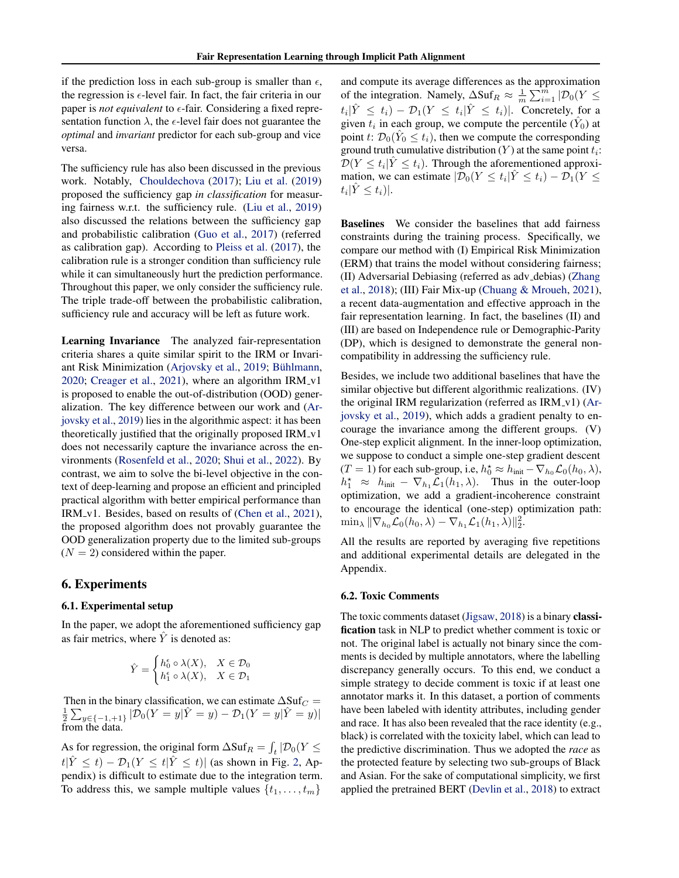if the prediction loss in each sub-group is smaller than  $\epsilon$ , the regression is  $\epsilon$ -level fair. In fact, the fair criteria in our paper is *not equivalent* to  $\epsilon$ -fair. Considering a fixed representation function  $\lambda$ , the  $\epsilon$ -level fair does not guarantee the *optimal* and *invariant* predictor for each sub-group and vice versa.

The sufficiency rule has also been discussed in the previous work. Notably, [Chouldechova](#page-9-6) [\(2017\)](#page-9-6); [Liu et al.](#page-10-6) [\(2019\)](#page-10-6) proposed the sufficiency gap *in classification* for measuring fairness w.r.t. the sufficiency rule. [\(Liu et al.,](#page-10-6) [2019\)](#page-10-6) also discussed the relations between the sufficiency gap and probabilistic calibration [\(Guo et al.,](#page-9-15) [2017\)](#page-9-15) (referred as calibration gap). According to [Pleiss et al.](#page-10-15) [\(2017\)](#page-10-15), the calibration rule is a stronger condition than sufficiency rule while it can simultaneously hurt the prediction performance. Throughout this paper, we only consider the sufficiency rule. The triple trade-off between the probabilistic calibration, sufficiency rule and accuracy will be left as future work.

Learning Invariance The analyzed fair-representation criteria shares a quite similar spirit to the IRM or Invari-ant Risk Minimization [\(Arjovsky et al.,](#page-8-0) [2019;](#page-8-0) Bühlmann, [2020;](#page-9-8) [Creager et al.,](#page-9-16) [2021\)](#page-9-16), where an algorithm  $IRM_v1$ is proposed to enable the out-of-distribution (OOD) generalization. The key difference between our work and [\(Ar](#page-8-0)[jovsky et al.,](#page-8-0) [2019\)](#page-8-0) lies in the algorithmic aspect: it has been theoretically justified that the originally proposed IRM\_v1 does not necessarily capture the invariance across the environments [\(Rosenfeld et al.,](#page-10-16) [2020;](#page-10-16) [Shui et al.,](#page-10-17) [2022\)](#page-10-17). By contrast, we aim to solve the bi-level objective in the context of deep-learning and propose an efficient and principled practical algorithm with better empirical performance than IRM\_v1. Besides, based on results of [\(Chen et al.,](#page-9-17) [2021\)](#page-9-17), the proposed algorithm does not provably guarantee the OOD generalization property due to the limited sub-groups  $(N = 2)$  considered within the paper.

## 6. Experiments

#### 6.1. Experimental setup

In the paper, we adopt the aforementioned sufficiency gap as fair metrics, where  $\hat{Y}$  is denoted as:

$$
\hat{Y} = \begin{cases} h_0^{\epsilon} \circ \lambda(X), & X \in \mathcal{D}_0 \\ h_1^{\epsilon} \circ \lambda(X), & X \in \mathcal{D}_1 \end{cases}
$$

Then in the binary classification, we can estimate  $\Delta Suf_C =$  $\frac{1}{2} \sum_{y \in \{-1, +1\}} |\mathcal{D}_0(Y = y|\hat{Y} = y) - \mathcal{D}_1(Y = y|\hat{Y} = y)|$ from the data.

As for regression, the original form  $\Delta \text{Suf}_R = \int_t |\mathcal{D}_0(Y \leq$  $t|\hat{Y} \leq t) - \mathcal{D}_1(Y \leq t|\hat{Y} \leq t)|$  (as shown in Fig. [2,](#page-2-0) Appendix) is difficult to estimate due to the integration term. To address this, we sample multiple values  $\{t_1, \ldots, t_m\}$ 

and compute its average differences as the approximation of the integration. Namely,  $\Delta \text{Suf}_R \approx \frac{1}{m} \sum_{i=1}^{\hat{m}} |\mathcal{D}_0(Y \leq$  $t_i|\hat{Y} \leq t_i - \mathcal{D}_1(Y \leq t_i|\hat{Y} \leq t_i)|$ . Concretely, for a given  $t_i$  in each group, we compute the percentile  $(\hat{Y}_0)$  at point t:  $\mathcal{D}_0(\hat{Y}_0 \leq t_i)$ , then we compute the corresponding ground truth cumulative distribution  $(Y)$  at the same point  $t_i$ :  $\mathcal{D}(Y \le t_i | \hat{Y} \le t_i)$ . Through the aforementioned approximation, we can estimate  $|\overline{\mathcal{D}}_0(Y \le t_i)| \hat{Y} \le t_i) - \overline{\mathcal{D}}_1(Y \le t_i)$  $t_i$  $|\hat{Y} \leq t_i|$ .

Baselines We consider the baselines that add fairness constraints during the training process. Specifically, we compare our method with (I) Empirical Risk Minimization (ERM) that trains the model without considering fairness; (II) Adversarial Debiasing (referred as adv debias) [\(Zhang](#page-10-12) [et al.,](#page-10-12) [2018\)](#page-10-12); (III) Fair Mix-up [\(Chuang & Mroueh,](#page-9-18) [2021\)](#page-9-18), a recent data-augmentation and effective approach in the fair representation learning. In fact, the baselines (II) and (III) are based on Independence rule or Demographic-Parity (DP), which is designed to demonstrate the general noncompatibility in addressing the sufficiency rule.

Besides, we include two additional baselines that have the similar objective but different algorithmic realizations. (IV) the original IRM regularization (referred as IRM\_v1) [\(Ar](#page-8-0)[jovsky et al.,](#page-8-0) [2019\)](#page-8-0), which adds a gradient penalty to encourage the invariance among the different groups. (V) One-step explicit alignment. In the inner-loop optimization, we suppose to conduct a simple one-step gradient descent  $(T = 1)$  for each sub-group, i.e,  $h_0^* \approx h_{init} - \nabla_{h_0} \mathcal{L}_0(h_0, \lambda),$  $h_1^* \approx h_{\text{init}} - \nabla_{h_1} \mathcal{L}_1(h_1, \lambda)$ . Thus in the outer-loop optimization, we add a gradient-incoherence constraint to encourage the identical (one-step) optimization path:  $\min_{\lambda} \|\nabla_{h_0} \mathcal{L}_0(h_0, \lambda) - \nabla_{h_1} \mathcal{L}_1(h_1, \lambda)\|_2^2.$ 

All the results are reported by averaging five repetitions and additional experimental details are delegated in the Appendix.

#### 6.2. Toxic Comments

The toxic comments dataset [\(Jigsaw,](#page-9-19) [2018\)](#page-9-19) is a binary classification task in NLP to predict whether comment is toxic or not. The original label is actually not binary since the comments is decided by multiple annotators, where the labelling discrepancy generally occurs. To this end, we conduct a simple strategy to decide comment is toxic if at least one annotator marks it. In this dataset, a portion of comments have been labeled with identity attributes, including gender and race. It has also been revealed that the race identity (e.g., black) is correlated with the toxicity label, which can lead to the predictive discrimination. Thus we adopted the *race* as the protected feature by selecting two sub-groups of Black and Asian. For the sake of computational simplicity, we first applied the pretrained BERT [\(Devlin et al.,](#page-9-20) [2018\)](#page-9-20) to extract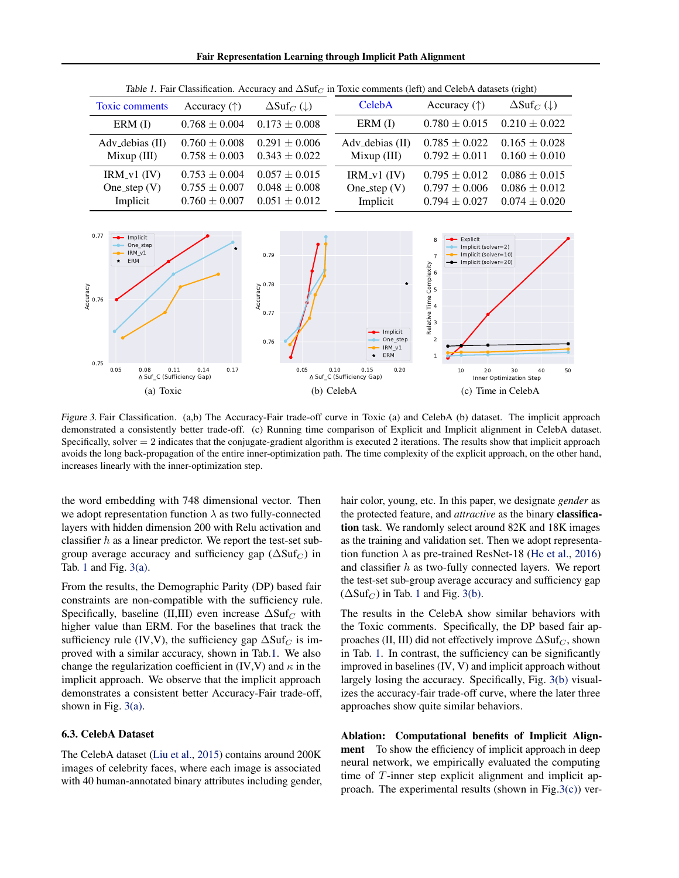Fair Representation Learning through Implicit Path Alignment

<span id="page-6-0"></span>

| Accuracy $(\uparrow)$                                       | $\Delta \text{Suf}_C(\downarrow)$                           | CelebA                                      | Accuracy $(\uparrow)$                                       | $\Delta \text{Suf}_C(\downarrow)$                           |
|-------------------------------------------------------------|-------------------------------------------------------------|---------------------------------------------|-------------------------------------------------------------|-------------------------------------------------------------|
| $0.768 \pm 0.004$                                           | $0.173 \pm 0.008$                                           | ERM (I)                                     | $0.780 \pm 0.015$                                           | $0.210 \pm 0.022$                                           |
| $0.760 \pm 0.008$<br>$0.758 \pm 0.003$                      | $0.291 \pm 0.006$<br>$0.343 \pm 0.022$                      | Adv_debias (II)<br>Mixup (III)              | $0.785 \pm 0.022$<br>$0.792 \pm 0.011$                      | $0.165 \pm 0.028$<br>$0.160 \pm 0.010$                      |
| $0.753 \pm 0.004$<br>$0.755 \pm 0.007$<br>$0.760 \pm 0.007$ | $0.057 \pm 0.015$<br>$0.048 \pm 0.008$<br>$0.051 \pm 0.012$ | $IRM_v1$ (IV)<br>One_step $(V)$<br>Implicit | $0.795 \pm 0.012$<br>$0.797 \pm 0.006$<br>$0.794 \pm 0.027$ | $0.086 \pm 0.015$<br>$0.086 \pm 0.012$<br>$0.074 \pm 0.020$ |
|                                                             |                                                             |                                             |                                                             |                                                             |

Table 1. Fair Classification. Accuracy and  $\Delta Suf_C$  in Toxic comments (left) and CelebA datasets (right)

<span id="page-6-1"></span>

Figure 3. Fair Classification. (a,b) The Accuracy-Fair trade-off curve in Toxic (a) and CelebA (b) dataset. The implicit approach demonstrated a consistently better trade-off. (c) Running time comparison of Explicit and Implicit alignment in CelebA dataset. Specifically, solver  $= 2$  indicates that the conjugate-gradient algorithm is executed 2 iterations. The results show that implicit approach avoids the long back-propagation of the entire inner-optimization path. The time complexity of the explicit approach, on the other hand, increases linearly with the inner-optimization step.

the word embedding with 748 dimensional vector. Then we adopt representation function  $\lambda$  as two fully-connected layers with hidden dimension 200 with Relu activation and classifier  $h$  as a linear predictor. We report the test-set subgroup average accuracy and sufficiency gap ( $\Delta \text{Suf}_C$ ) in Tab. [1](#page-6-0) and Fig.  $3(a)$ .

From the results, the Demographic Parity (DP) based fair constraints are non-compatible with the sufficiency rule. Specifically, baseline (II,III) even increase  $\Delta S \text{u}f_C$  with higher value than ERM. For the baselines that track the sufficiency rule (IV,V), the sufficiency gap  $\Delta S \text{u}f_C$  is improved with a similar accuracy, shown in Tab[.1.](#page-6-0) We also change the regularization coefficient in (IV,V) and  $\kappa$  in the implicit approach. We observe that the implicit approach demonstrates a consistent better Accuracy-Fair trade-off, shown in Fig. [3\(a\).](#page-6-1)

#### 6.3. CelebA Dataset

The CelebA dataset [\(Liu et al.,](#page-10-18) [2015\)](#page-10-18) contains around 200K images of celebrity faces, where each image is associated with 40 human-annotated binary attributes including gender, <span id="page-6-3"></span><span id="page-6-2"></span>hair color, young, etc. In this paper, we designate *gender* as the protected feature, and *attractive* as the binary classification task. We randomly select around 82K and 18K images as the training and validation set. Then we adopt representation function  $\lambda$  as pre-trained ResNet-18 [\(He et al.,](#page-9-21) [2016\)](#page-9-21) and classifier h as two-fully connected layers. We report the test-set sub-group average accuracy and sufficiency gap  $(\Delta Suf_C)$  in Tab. [1](#page-6-0) and Fig. [3\(b\).](#page-6-2)

The results in the CelebA show similar behaviors with the Toxic comments. Specifically, the DP based fair approaches (II, III) did not effectively improve  $\Delta \text{Suf}_C$ , shown in Tab. [1.](#page-6-0) In contrast, the sufficiency can be significantly improved in baselines (IV, V) and implicit approach without largely losing the accuracy. Specifically, Fig. [3\(b\)](#page-6-2) visualizes the accuracy-fair trade-off curve, where the later three approaches show quite similar behaviors.

Ablation: Computational benefits of Implicit Alignment To show the efficiency of implicit approach in deep neural network, we empirically evaluated the computing time of T-inner step explicit alignment and implicit ap-proach. The experimental results (shown in Fig[.3\(c\)\)](#page-6-3) ver-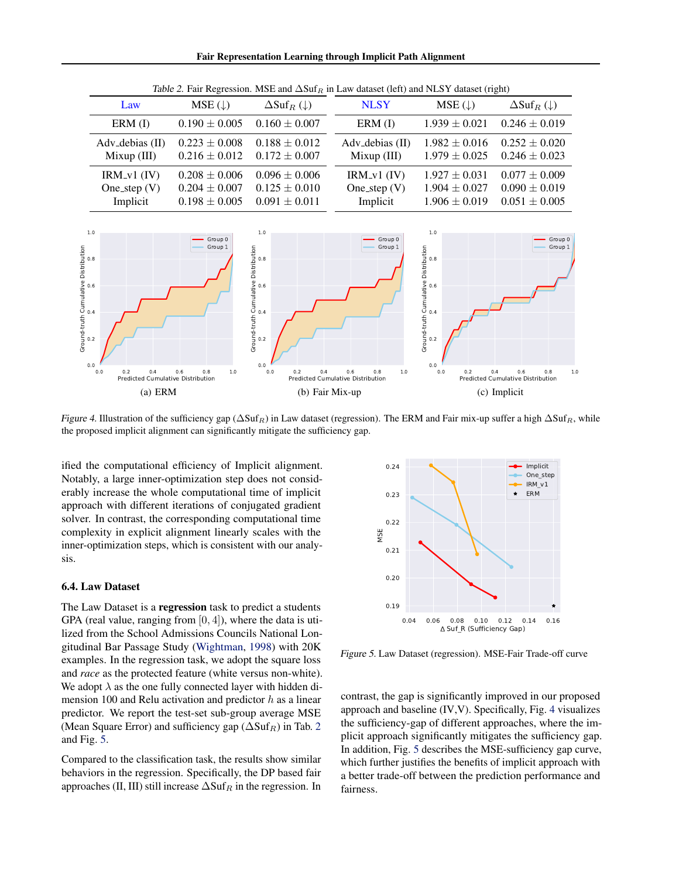Fair Representation Learning through Implicit Path Alignment

<span id="page-7-0"></span>

| Law                                         | $MSE(\downarrow)$                                           | $\Delta \text{Suf}_R(\downarrow)$                           | <b>NLSY</b>                                 | $MSE(\downarrow)$                                           | $\Delta \text{Suf}_R(\downarrow)$                           |
|---------------------------------------------|-------------------------------------------------------------|-------------------------------------------------------------|---------------------------------------------|-------------------------------------------------------------|-------------------------------------------------------------|
| ERM (I)                                     | $0.190 \pm 0.005$                                           | $0.160 \pm 0.007$                                           | ERM (I)                                     | $1.939 \pm 0.021$                                           | $0.246 \pm 0.019$                                           |
| Adv_debias (II)<br>Mixup (III)              | $0.223 \pm 0.008$<br>$0.216 \pm 0.012$                      | $0.188 \pm 0.012$<br>$0.172 \pm 0.007$                      | Adv <sub>-debias</sub> (II)<br>Mixup (III)  | $1.982 \pm 0.016$<br>$1.979 \pm 0.025$                      | $0.252 \pm 0.020$<br>$0.246 \pm 0.023$                      |
| $IRM_v1$ (IV)<br>One_step $(V)$<br>Implicit | $0.208 \pm 0.006$<br>$0.204 \pm 0.007$<br>$0.198 \pm 0.005$ | $0.096 \pm 0.006$<br>$0.125 \pm 0.010$<br>$0.091 \pm 0.011$ | $IRM_v1$ (IV)<br>One_step $(V)$<br>Implicit | $1.927 \pm 0.031$<br>$1.904 \pm 0.027$<br>$1.906 \pm 0.019$ | $0.077 \pm 0.009$<br>$0.090 \pm 0.019$<br>$0.051 \pm 0.005$ |
|                                             |                                                             |                                                             |                                             |                                                             |                                                             |

Table 2. Fair Regression. MSE and  $\Delta \text{Suf}_R$  in Law dataset (left) and NLSY dataset (right)



Figure 4. Illustration of the sufficiency gap ( $\Delta Suf_R$ ) in Law dataset (regression). The ERM and Fair mix-up suffer a high  $\Delta Suf_R$ , while the proposed implicit alignment can significantly mitigate the sufficiency gap.

ified the computational efficiency of Implicit alignment. Notably, a large inner-optimization step does not considerably increase the whole computational time of implicit approach with different iterations of conjugated gradient solver. In contrast, the corresponding computational time complexity in explicit alignment linearly scales with the inner-optimization steps, which is consistent with our analysis.

## 6.4. Law Dataset

The Law Dataset is a regression task to predict a students GPA (real value, ranging from  $[0, 4]$ ), where the data is utilized from the School Admissions Councils National Longitudinal Bar Passage Study [\(Wightman,](#page-10-19) [1998\)](#page-10-19) with 20K examples. In the regression task, we adopt the square loss and *race* as the protected feature (white versus non-white). We adopt  $\lambda$  as the one fully connected layer with hidden dimension 100 and Relu activation and predictor  $h$  as a linear predictor. We report the test-set sub-group average MSE (Mean Square Error) and sufficiency gap ( $\Delta S \text{uf}_R$ ) in Tab. [2](#page-7-0) and Fig. [5.](#page-7-1)

Compared to the classification task, the results show similar behaviors in the regression. Specifically, the DP based fair approaches (II, III) still increase  $\Delta S \text{uf}_R$  in the regression. In

<span id="page-7-2"></span>

<span id="page-7-1"></span>Figure 5. Law Dataset (regression). MSE-Fair Trade-off curve

contrast, the gap is significantly improved in our proposed approach and baseline (IV,V). Specifically, Fig. [4](#page-7-2) visualizes the sufficiency-gap of different approaches, where the implicit approach significantly mitigates the sufficiency gap. In addition, Fig. [5](#page-7-1) describes the MSE-sufficiency gap curve, which further justifies the benefits of implicit approach with a better trade-off between the prediction performance and fairness.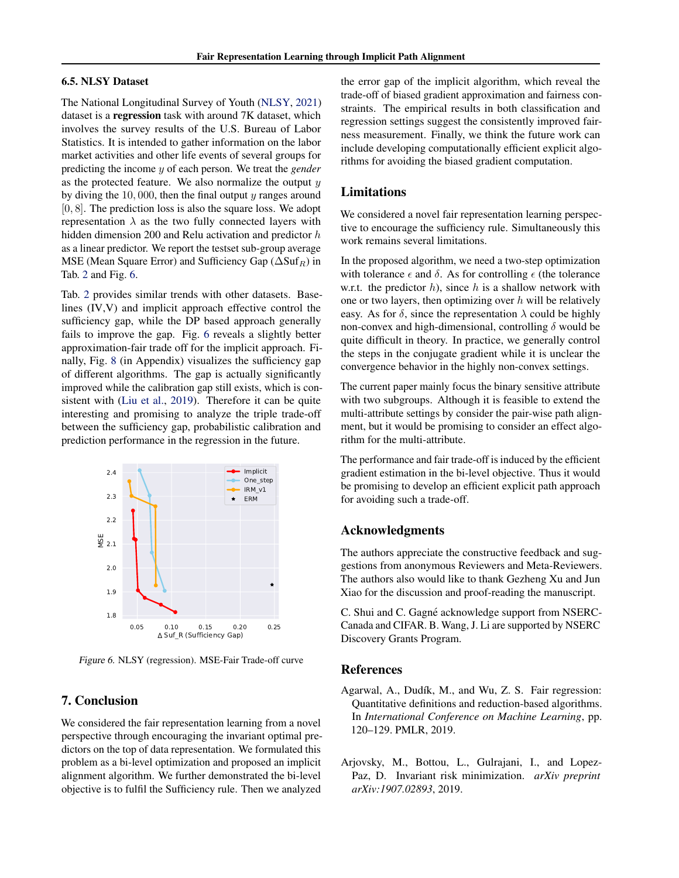## 6.5. NLSY Dataset

The National Longitudinal Survey of Youth [\(NLSY,](#page-10-20) [2021\)](#page-10-20) dataset is a regression task with around 7K dataset, which involves the survey results of the U.S. Bureau of Labor Statistics. It is intended to gather information on the labor market activities and other life events of several groups for predicting the income y of each person. We treat the *gender* as the protected feature. We also normalize the output  $y$ by diving the  $10,000$ , then the final output y ranges around  $[0, 8]$ . The prediction loss is also the square loss. We adopt representation  $\lambda$  as the two fully connected layers with hidden dimension 200 and Relu activation and predictor h as a linear predictor. We report the testset sub-group average MSE (Mean Square Error) and Sufficiency Gap ( $\Delta S \text{uf}_R$ ) in Tab. [2](#page-7-0) and Fig. [6.](#page-8-2)

Tab. [2](#page-7-0) provides similar trends with other datasets. Baselines (IV,V) and implicit approach effective control the sufficiency gap, while the DP based approach generally fails to improve the gap. Fig. [6](#page-8-2) reveals a slightly better approximation-fair trade off for the implicit approach. Finally, Fig. [8](#page-18-0) (in Appendix) visualizes the sufficiency gap of different algorithms. The gap is actually significantly improved while the calibration gap still exists, which is consistent with [\(Liu et al.,](#page-10-6) [2019\)](#page-10-6). Therefore it can be quite interesting and promising to analyze the triple trade-off between the sufficiency gap, probabilistic calibration and prediction performance in the regression in the future.



Figure 6. NLSY (regression). MSE-Fair Trade-off curve

## 7. Conclusion

We considered the fair representation learning from a novel perspective through encouraging the invariant optimal predictors on the top of data representation. We formulated this problem as a bi-level optimization and proposed an implicit alignment algorithm. We further demonstrated the bi-level objective is to fulfil the Sufficiency rule. Then we analyzed

the error gap of the implicit algorithm, which reveal the trade-off of biased gradient approximation and fairness constraints. The empirical results in both classification and regression settings suggest the consistently improved fairness measurement. Finally, we think the future work can include developing computationally efficient explicit algorithms for avoiding the biased gradient computation.

## Limitations

We considered a novel fair representation learning perspective to encourage the sufficiency rule. Simultaneously this work remains several limitations.

In the proposed algorithm, we need a two-step optimization with tolerance  $\epsilon$  and  $\delta$ . As for controlling  $\epsilon$  (the tolerance w.r.t. the predictor  $h$ ), since  $h$  is a shallow network with one or two layers, then optimizing over  $h$  will be relatively easy. As for  $\delta$ , since the representation  $\lambda$  could be highly non-convex and high-dimensional, controlling  $\delta$  would be quite difficult in theory. In practice, we generally control the steps in the conjugate gradient while it is unclear the convergence behavior in the highly non-convex settings.

The current paper mainly focus the binary sensitive attribute with two subgroups. Although it is feasible to extend the multi-attribute settings by consider the pair-wise path alignment, but it would be promising to consider an effect algorithm for the multi-attribute.

The performance and fair trade-off is induced by the efficient gradient estimation in the bi-level objective. Thus it would be promising to develop an efficient explicit path approach for avoiding such a trade-off.

## Acknowledgments

The authors appreciate the constructive feedback and suggestions from anonymous Reviewers and Meta-Reviewers. The authors also would like to thank Gezheng Xu and Jun Xiao for the discussion and proof-reading the manuscript.

<span id="page-8-2"></span>C. Shui and C. Gagné acknowledge support from NSERC-Canada and CIFAR. B. Wang, J. Li are supported by NSERC Discovery Grants Program.

#### References

- <span id="page-8-1"></span>Agarwal, A., Dudík, M., and Wu, Z. S. Fair regression: Quantitative definitions and reduction-based algorithms. In *International Conference on Machine Learning*, pp. 120–129. PMLR, 2019.
- <span id="page-8-0"></span>Arjovsky, M., Bottou, L., Gulrajani, I., and Lopez-Paz, D. Invariant risk minimization. *arXiv preprint arXiv:1907.02893*, 2019.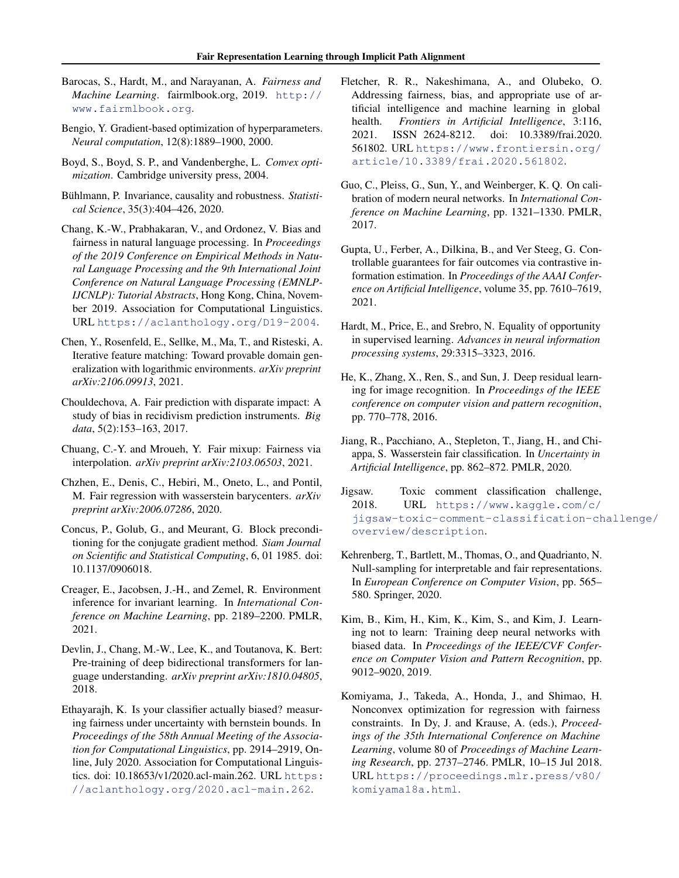- <span id="page-9-9"></span>Barocas, S., Hardt, M., and Narayanan, A. *Fairness and Machine Learning*. fairmlbook.org, 2019. [http://](http://www.fairmlbook.org) [www.fairmlbook.org](http://www.fairmlbook.org).
- <span id="page-9-7"></span>Bengio, Y. Gradient-based optimization of hyperparameters. *Neural computation*, 12(8):1889–1900, 2000.
- <span id="page-9-22"></span>Boyd, S., Boyd, S. P., and Vandenberghe, L. *Convex optimization*. Cambridge university press, 2004.
- <span id="page-9-8"></span>Bühlmann, P. Invariance, causality and robustness. Statisti*cal Science*, 35(3):404–426, 2020.
- <span id="page-9-1"></span>Chang, K.-W., Prabhakaran, V., and Ordonez, V. Bias and fairness in natural language processing. In *Proceedings of the 2019 Conference on Empirical Methods in Natural Language Processing and the 9th International Joint Conference on Natural Language Processing (EMNLP-IJCNLP): Tutorial Abstracts*, Hong Kong, China, November 2019. Association for Computational Linguistics. URL <https://aclanthology.org/D19-2004>.
- <span id="page-9-17"></span>Chen, Y., Rosenfeld, E., Sellke, M., Ma, T., and Risteski, A. Iterative feature matching: Toward provable domain generalization with logarithmic environments. *arXiv preprint arXiv:2106.09913*, 2021.
- <span id="page-9-6"></span>Chouldechova, A. Fair prediction with disparate impact: A study of bias in recidivism prediction instruments. *Big data*, 5(2):153–163, 2017.
- <span id="page-9-18"></span>Chuang, C.-Y. and Mroueh, Y. Fair mixup: Fairness via interpolation. *arXiv preprint arXiv:2103.06503*, 2021.
- <span id="page-9-5"></span>Chzhen, E., Denis, C., Hebiri, M., Oneto, L., and Pontil, M. Fair regression with wasserstein barycenters. *arXiv preprint arXiv:2006.07286*, 2020.
- <span id="page-9-10"></span>Concus, P., Golub, G., and Meurant, G. Block preconditioning for the conjugate gradient method. *Siam Journal on Scientific and Statistical Computing*, 6, 01 1985. doi: 10.1137/0906018.
- <span id="page-9-16"></span>Creager, E., Jacobsen, J.-H., and Zemel, R. Environment inference for invariant learning. In *International Conference on Machine Learning*, pp. 2189–2200. PMLR, 2021.
- <span id="page-9-20"></span>Devlin, J., Chang, M.-W., Lee, K., and Toutanova, K. Bert: Pre-training of deep bidirectional transformers for language understanding. *arXiv preprint arXiv:1810.04805*, 2018.
- <span id="page-9-2"></span>Ethayarajh, K. Is your classifier actually biased? measuring fairness under uncertainty with bernstein bounds. In *Proceedings of the 58th Annual Meeting of the Association for Computational Linguistics*, pp. 2914–2919, Online, July 2020. Association for Computational Linguistics. doi: 10.18653/v1/2020.acl-main.262. URL [https:](https://aclanthology.org/2020.acl-main.262) [//aclanthology.org/2020.acl-main.262](https://aclanthology.org/2020.acl-main.262).
- <span id="page-9-4"></span>Fletcher, R. R., Nakeshimana, A., and Olubeko, O. Addressing fairness, bias, and appropriate use of artificial intelligence and machine learning in global health. *Frontiers in Artificial Intelligence*, 3:116, 2021. ISSN 2624-8212. doi: 10.3389/frai.2020. 561802. URL [https://www.frontiersin.org/](https://www.frontiersin.org/article/10.3389/frai.2020.561802) [article/10.3389/frai.2020.561802](https://www.frontiersin.org/article/10.3389/frai.2020.561802).
- <span id="page-9-15"></span>Guo, C., Pleiss, G., Sun, Y., and Weinberger, K. Q. On calibration of modern neural networks. In *International Conference on Machine Learning*, pp. 1321–1330. PMLR, 2017.
- <span id="page-9-12"></span>Gupta, U., Ferber, A., Dilkina, B., and Ver Steeg, G. Controllable guarantees for fair outcomes via contrastive information estimation. In *Proceedings of the AAAI Conference on Artificial Intelligence*, volume 35, pp. 7610–7619, 2021.
- <span id="page-9-0"></span>Hardt, M., Price, E., and Srebro, N. Equality of opportunity in supervised learning. *Advances in neural information processing systems*, 29:3315–3323, 2016.
- <span id="page-9-21"></span>He, K., Zhang, X., Ren, S., and Sun, J. Deep residual learning for image recognition. In *Proceedings of the IEEE conference on computer vision and pattern recognition*, pp. 770–778, 2016.
- <span id="page-9-11"></span>Jiang, R., Pacchiano, A., Stepleton, T., Jiang, H., and Chiappa, S. Wasserstein fair classification. In *Uncertainty in Artificial Intelligence*, pp. 862–872. PMLR, 2020.
- <span id="page-9-19"></span>Jigsaw. Toxic comment classification challenge, 2018. URL [https://www.kaggle.com/c/](https://www.kaggle.com/c/jigsaw-toxic-comment-classification-challenge/overview/description) [jigsaw-toxic-comment-classification-ch](https://www.kaggle.com/c/jigsaw-toxic-comment-classification-challenge/overview/description)allenge/ [overview/description](https://www.kaggle.com/c/jigsaw-toxic-comment-classification-challenge/overview/description).
- <span id="page-9-3"></span>Kehrenberg, T., Bartlett, M., Thomas, O., and Quadrianto, N. Null-sampling for interpretable and fair representations. In *European Conference on Computer Vision*, pp. 565– 580. Springer, 2020.
- <span id="page-9-13"></span>Kim, B., Kim, H., Kim, K., Kim, S., and Kim, J. Learning not to learn: Training deep neural networks with biased data. In *Proceedings of the IEEE/CVF Conference on Computer Vision and Pattern Recognition*, pp. 9012–9020, 2019.
- <span id="page-9-14"></span>Komiyama, J., Takeda, A., Honda, J., and Shimao, H. Nonconvex optimization for regression with fairness constraints. In Dy, J. and Krause, A. (eds.), *Proceedings of the 35th International Conference on Machine Learning*, volume 80 of *Proceedings of Machine Learning Research*, pp. 2737–2746. PMLR, 10–15 Jul 2018. URL [https://proceedings.mlr.press/v80/](https://proceedings.mlr.press/v80/komiyama18a.html) [komiyama18a.html](https://proceedings.mlr.press/v80/komiyama18a.html).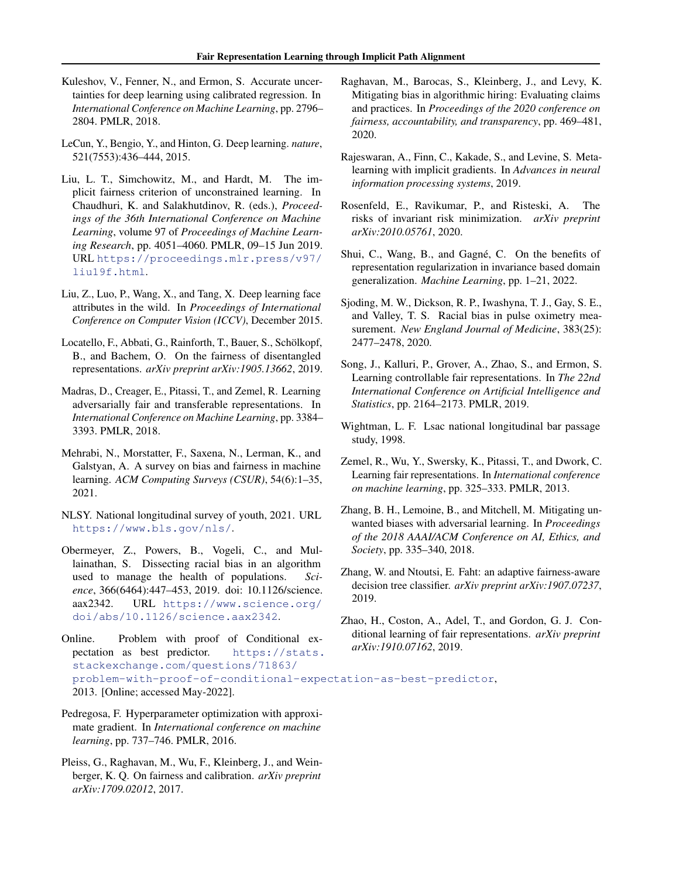- <span id="page-10-7"></span>Kuleshov, V., Fenner, N., and Ermon, S. Accurate uncertainties for deep learning using calibrated regression. In *International Conference on Machine Learning*, pp. 2796– 2804. PMLR, 2018.
- <span id="page-10-1"></span>LeCun, Y., Bengio, Y., and Hinton, G. Deep learning. *nature*, 521(7553):436–444, 2015.
- <span id="page-10-6"></span>Liu, L. T., Simchowitz, M., and Hardt, M. The implicit fairness criterion of unconstrained learning. In Chaudhuri, K. and Salakhutdinov, R. (eds.), *Proceedings of the 36th International Conference on Machine Learning*, volume 97 of *Proceedings of Machine Learning Research*, pp. 4051–4060. PMLR, 09–15 Jun 2019. URL [https://proceedings.mlr.press/v97/](https://proceedings.mlr.press/v97/liu19f.html) [liu19f.html](https://proceedings.mlr.press/v97/liu19f.html).
- <span id="page-10-18"></span>Liu, Z., Luo, P., Wang, X., and Tang, X. Deep learning face attributes in the wild. In *Proceedings of International Conference on Computer Vision (ICCV)*, December 2015.
- <span id="page-10-13"></span>Locatello, F., Abbati, G., Rainforth, T., Bauer, S., Schölkopf, B., and Bachem, O. On the fairness of disentangled representations. *arXiv preprint arXiv:1905.13662*, 2019.
- <span id="page-10-3"></span>Madras, D., Creager, E., Pitassi, T., and Zemel, R. Learning adversarially fair and transferable representations. In *International Conference on Machine Learning*, pp. 3384– 3393. PMLR, 2018.
- <span id="page-10-11"></span>Mehrabi, N., Morstatter, F., Saxena, N., Lerman, K., and Galstyan, A. A survey on bias and fairness in machine learning. *ACM Computing Surveys (CSUR)*, 54(6):1–35, 2021.
- <span id="page-10-20"></span>NLSY. National longitudinal survey of youth, 2021. URL <https://www.bls.gov/nls/>.
- <span id="page-10-5"></span>Obermeyer, Z., Powers, B., Vogeli, C., and Mullainathan, S. Dissecting racial bias in an algorithm used to manage the health of populations. *Science*, 366(6464):447–453, 2019. doi: 10.1126/science. aax2342. URL [https://www.science.org/](https://www.science.org/doi/abs/10.1126/science.aax2342) [doi/abs/10.1126/science.aax2342](https://www.science.org/doi/abs/10.1126/science.aax2342).

<span id="page-10-21"></span>Online. Problem with proof of Conditional expectation as best predictor. [https://stats.](https://stats.stackexchange.com/questions/71863/problem-with-proof-of-conditional-expectation-as-best-predictor) [stackexchange.com/questions/71863/](https://stats.stackexchange.com/questions/71863/problem-with-proof-of-conditional-expectation-as-best-predictor) [problem-with-proof-of-conditional-expectation-as-best-predictor](https://stats.stackexchange.com/questions/71863/problem-with-proof-of-conditional-expectation-as-best-predictor), 2013. [Online; accessed May-2022]. *arXiv:1910.07162*, 2019.

- <span id="page-10-9"></span>Pedregosa, F. Hyperparameter optimization with approximate gradient. In *International conference on machine learning*, pp. 737–746. PMLR, 2016.
- <span id="page-10-15"></span>Pleiss, G., Raghavan, M., Wu, F., Kleinberg, J., and Weinberger, K. Q. On fairness and calibration. *arXiv preprint arXiv:1709.02012*, 2017.
- <span id="page-10-0"></span>Raghavan, M., Barocas, S., Kleinberg, J., and Levy, K. Mitigating bias in algorithmic hiring: Evaluating claims and practices. In *Proceedings of the 2020 conference on fairness, accountability, and transparency*, pp. 469–481, 2020.
- <span id="page-10-10"></span>Rajeswaran, A., Finn, C., Kakade, S., and Levine, S. Metalearning with implicit gradients. In *Advances in neural information processing systems*, 2019.
- <span id="page-10-16"></span>Rosenfeld, E., Ravikumar, P., and Risteski, A. The risks of invariant risk minimization. *arXiv preprint arXiv:2010.05761*, 2020.
- <span id="page-10-17"></span>Shui, C., Wang, B., and Gagné, C. On the benefits of representation regularization in invariance based domain generalization. *Machine Learning*, pp. 1–21, 2022.
- <span id="page-10-8"></span>Sjoding, M. W., Dickson, R. P., Iwashyna, T. J., Gay, S. E., and Valley, T. S. Racial bias in pulse oximetry measurement. *New England Journal of Medicine*, 383(25): 2477–2478, 2020.
- <span id="page-10-4"></span>Song, J., Kalluri, P., Grover, A., Zhao, S., and Ermon, S. Learning controllable fair representations. In *The 22nd International Conference on Artificial Intelligence and Statistics*, pp. 2164–2173. PMLR, 2019.
- <span id="page-10-19"></span>Wightman, L. F. Lsac national longitudinal bar passage study, 1998.
- <span id="page-10-2"></span>Zemel, R., Wu, Y., Swersky, K., Pitassi, T., and Dwork, C. Learning fair representations. In *International conference on machine learning*, pp. 325–333. PMLR, 2013.
- <span id="page-10-12"></span>Zhang, B. H., Lemoine, B., and Mitchell, M. Mitigating unwanted biases with adversarial learning. In *Proceedings of the 2018 AAAI/ACM Conference on AI, Ethics, and Society*, pp. 335–340, 2018.
- <span id="page-10-22"></span>Zhang, W. and Ntoutsi, E. Faht: an adaptive fairness-aware decision tree classifier. *arXiv preprint arXiv:1907.07237*, 2019.
- <span id="page-10-14"></span>Zhao, H., Coston, A., Adel, T., and Gordon, G. J. Conditional learning of fair representations. *arXiv preprint*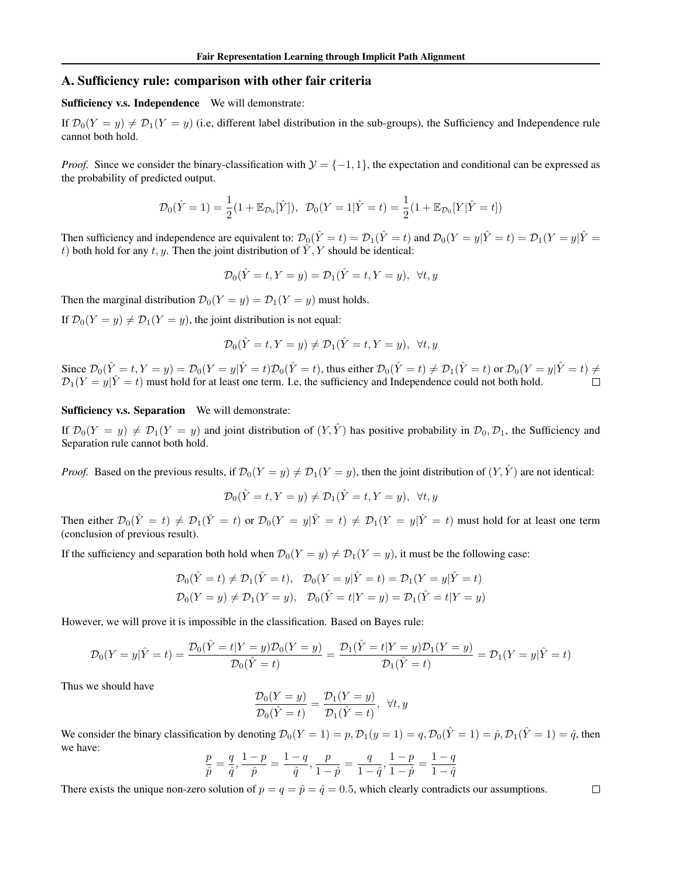## A. Sufficiency rule: comparison with other fair criteria

Sufficiency v.s. Independence We will demonstrate:

If  $\mathcal{D}_0(Y = y) \neq \mathcal{D}_1(Y = y)$  (i.e, different label distribution in the sub-groups), the Sufficiency and Independence rule cannot both hold.

*Proof.* Since we consider the binary-classification with  $\mathcal{Y} = \{-1, 1\}$ , the expectation and conditional can be expressed as the probability of predicted output.

$$
\mathcal{D}_0(\hat{Y}=1) = \frac{1}{2}(1 + \mathbb{E}_{\mathcal{D}_0}[\hat{Y}]), \ \ \mathcal{D}_0(Y=1|\hat{Y}=t) = \frac{1}{2}(1 + \mathbb{E}_{\mathcal{D}_0}[Y|\hat{Y}=t])
$$

Then sufficiency and independence are equivalent to:  $\mathcal{D}_0(\hat{Y}=t) = \mathcal{D}_1(\hat{Y}=t)$  and  $\mathcal{D}_0(Y=y|\hat{Y}=t) = \mathcal{D}_1(Y=y|\hat{Y}=t)$ t) both hold for any t, y. Then the joint distribution of  $\hat{Y}, Y$  should be identical:

$$
\mathcal{D}_0(\hat{Y}=t, Y=y) = \mathcal{D}_1(\hat{Y}=t, Y=y), \ \forall t, y
$$

Then the marginal distribution  $\mathcal{D}_0(Y = y) = \mathcal{D}_1(Y = y)$  must holds.

If  $\mathcal{D}_0(Y = y) \neq \mathcal{D}_1(Y = y)$ , the joint distribution is not equal:

$$
\mathcal{D}_0(\hat{Y}=t, Y=y) \neq \mathcal{D}_1(\hat{Y}=t, Y=y), \ \forall t, y
$$

Since  $\mathcal{D}_0(\hat{Y} = t, Y = y) = \mathcal{D}_0(Y = y | \hat{Y} = t) \mathcal{D}_0(\hat{Y} = t)$ , thus either  $\mathcal{D}_0(\hat{Y} = t) \neq \mathcal{D}_1(\hat{Y} = t)$  or  $\mathcal{D}_0(Y = y | \hat{Y} = t) \neq 0$  $\mathcal{D}_1(Y=y|\hat{Y}=t)$  must hold for at least one term. I.e, the sufficiency and Independence could not both hold.  $\Box$ 

#### Sufficiency v.s. Separation We will demonstrate:

If  $\mathcal{D}_0(Y = y) \neq \mathcal{D}_1(Y = y)$  and joint distribution of  $(Y, \hat{Y})$  has positive probability in  $\mathcal{D}_0, \mathcal{D}_1$ , the Sufficiency and Separation rule cannot both hold.

*Proof.* Based on the previous results, if  $\mathcal{D}_0(Y = y) \neq \mathcal{D}_1(Y = y)$ , then the joint distribution of  $(Y, \hat{Y})$  are not identical:

$$
\mathcal{D}_0(\hat{Y}=t, Y=y) \neq \mathcal{D}_1(\hat{Y}=t, Y=y), \ \ \forall t, y
$$

Then either  $\mathcal{D}_0(\hat{Y}=t) \neq \mathcal{D}_1(\hat{Y}=t)$  or  $\mathcal{D}_0(Y=y|\hat{Y}=t) \neq \mathcal{D}_1(Y=y|\hat{Y}=t)$  must hold for at least one term (conclusion of previous result).

If the sufficiency and separation both hold when  $\mathcal{D}_0(Y = y) \neq \mathcal{D}_1(Y = y)$ , it must be the following case:

$$
\mathcal{D}_0(\hat{Y} = t) \neq \mathcal{D}_1(\hat{Y} = t), \quad \mathcal{D}_0(Y = y | \hat{Y} = t) = \mathcal{D}_1(Y = y | \hat{Y} = t)
$$
  

$$
\mathcal{D}_0(Y = y) \neq \mathcal{D}_1(Y = y), \quad \mathcal{D}_0(\hat{Y} = t | Y = y) = \mathcal{D}_1(\hat{Y} = t | Y = y)
$$

However, we will prove it is impossible in the classification. Based on Bayes rule:

$$
\mathcal{D}_0(Y = y | \hat{Y} = t) = \frac{\mathcal{D}_0(\hat{Y} = t | Y = y) \mathcal{D}_0(Y = y)}{\mathcal{D}_0(\hat{Y} = t)} = \frac{\mathcal{D}_1(\hat{Y} = t | Y = y) \mathcal{D}_1(Y = y)}{\mathcal{D}_1(\hat{Y} = t)} = \mathcal{D}_1(Y = y | \hat{Y} = t)
$$

Thus we should have

$$
\frac{\mathcal{D}_0(Y=y)}{\mathcal{D}_0(\hat{Y}=t)} = \frac{\mathcal{D}_1(Y=y)}{\mathcal{D}_1(\hat{Y}=t)}, \ \ \forall t, y
$$

We consider the binary classification by denoting  $\mathcal{D}_0(Y = 1) = p$ ,  $\mathcal{D}_1(y = 1) = q$ ,  $\mathcal{D}_0(\hat{Y} = 1) = \hat{p}$ ,  $\mathcal{D}_1(\hat{Y} = 1) = \hat{q}$ , then we have:

$$
\frac{p}{\hat{p}} = \frac{q}{\hat{q}}, \frac{1-p}{\hat{p}} = \frac{1-q}{\hat{q}}, \frac{p}{1-\hat{p}} = \frac{q}{1-\hat{q}}, \frac{1-p}{1-\hat{p}} = \frac{1-q}{1-\hat{q}}
$$

There exists the unique non-zero solution of  $p = q = \hat{p} = \hat{q} = 0.5$ , which clearly contradicts our assumptions.

 $\Box$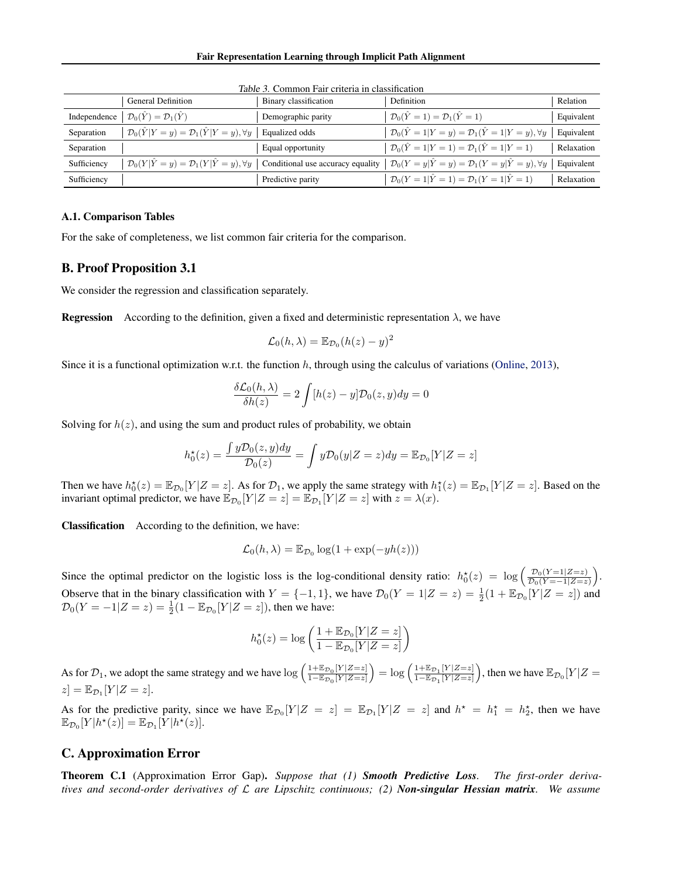|              | <b>General Definition</b>                                            | Binary classification | Definition                                                                                                             | Relation   |
|--------------|----------------------------------------------------------------------|-----------------------|------------------------------------------------------------------------------------------------------------------------|------------|
| Independence | $\mathcal{D}_0(\hat{Y}) = \mathcal{D}_1(\hat{Y})$                    | Demographic parity    | $\mathcal{D}_0(\hat{Y}=1)=\mathcal{D}_1(\hat{Y}=1)$                                                                    | Equivalent |
| Separation   | $\mathcal{D}_0(\hat{Y} Y=y) = \mathcal{D}_1(\hat{Y} Y=y), \forall y$ | Equalized odds        | $\mathcal{D}_0(\hat{Y} = 1   Y = y) = \mathcal{D}_1(\hat{Y} = 1   Y = y), \forall y$                                   | Equivalent |
| Separation   |                                                                      | Equal opportunity     | $\mathcal{D}_0(\hat{Y} = 1   Y = 1) = \mathcal{D}_1(\hat{Y} = 1   Y = 1)$                                              | Relaxation |
| Sufficiency  | $\mathcal{D}_0(Y \hat{Y}=y) = \mathcal{D}_1(Y \hat{Y}=y), \forall y$ |                       | Conditional use accuracy equality $\mathcal{D}_0(Y = y   \hat{Y} = y) = \mathcal{D}_1(Y = y   \hat{Y} = y), \forall y$ | Equivalent |
| Sufficiency  |                                                                      | Predictive parity     | $\mathcal{D}_0(Y=1 \hat{Y}=1) = \mathcal{D}_1(Y=1 \hat{Y}=1)$                                                          | Relaxation |

Table 3. Common Fair criteria in classification

## A.1. Comparison Tables

For the sake of completeness, we list common fair criteria for the comparison.

## B. Proof Proposition 3.1

We consider the regression and classification separately.

**Regression** According to the definition, given a fixed and deterministic representation  $\lambda$ , we have

$$
\mathcal{L}_0(h,\lambda) = \mathbb{E}_{\mathcal{D}_0}(h(z) - y)^2
$$

Since it is a functional optimization w.r.t. the function  $h$ , through using the calculus of variations [\(Online,](#page-10-21) [2013\)](#page-10-21),

$$
\frac{\delta \mathcal{L}_0(h, \lambda)}{\delta h(z)} = 2 \int [h(z) - y] \mathcal{D}_0(z, y) dy = 0
$$

Solving for  $h(z)$ , and using the sum and product rules of probability, we obtain

$$
h_0^{\star}(z) = \frac{\int y \mathcal{D}_0(z, y) dy}{\mathcal{D}_0(z)} = \int y \mathcal{D}_0(y|Z = z) dy = \mathbb{E}_{\mathcal{D}_0}[Y|Z = z]
$$

Then we have  $h_0^*(z) = \mathbb{E}_{\mathcal{D}_0}[Y|Z = z]$ . As for  $\mathcal{D}_1$ , we apply the same strategy with  $h_1^*(z) = \mathbb{E}_{\mathcal{D}_1}[Y|Z = z]$ . Based on the invariant optimal predictor, we have  $\mathbb{E}_{\mathcal{D}_0}[Y|Z=z] = \mathbb{E}_{\mathcal{D}_1}[Y|Z=z]$  with  $z = \lambda(x)$ .

Classification According to the definition, we have:

$$
\mathcal{L}_0(h,\lambda) = \mathbb{E}_{\mathcal{D}_0} \log(1 + \exp(-yh(z)))
$$

Since the optimal predictor on the logistic loss is the log-conditional density ratio:  $h_0^{\star}(z) = \log \left( \frac{\mathcal{D}_0(Y=1|Z=z)}{\mathcal{D}_0(Y=-1|Z=z)} \right)$  $\frac{\mathcal{D}_0(Y=1|Z=z)}{\mathcal{D}_0(Y=-1|Z=z)}\bigg).$ Observe that in the binary classification with  $Y = \{-1, 1\}$ , we have  $\mathcal{D}_0(Y = 1 | Z = z) = \frac{1}{2}(1 + \mathbb{E}_{\mathcal{D}_0}[Y | Z = z])$  and  $\mathcal{D}_0(Y = -1|Z = z) = \frac{1}{2}(1 - \mathbb{E}_{\mathcal{D}_0}[Y|Z = z])$ , then we have:

$$
h_0^\star(z) = \log\left(\frac{1+\mathbb{E}_{\mathcal{D}_0}[Y|Z=z]}{1-\mathbb{E}_{\mathcal{D}_0}[Y|Z=z]}\right)
$$

As for  $\mathcal{D}_1$ , we adopt the same strategy and we have  $\log\left(\frac{1+\mathbb{E}_{\mathcal{D}_0}[Y|Z=z]}{1-\mathbb{E}_{\mathcal{D}_0}[Y|Z=z]}\right) = \log\left(\frac{1+\mathbb{E}_{\mathcal{D}_1}[Y|Z=z]}{1-\mathbb{E}_{\mathcal{D}_1}[Y|Z=z]}\right)$ , then we have  $\mathbb{E}_{\mathcal{D}_0}[Y|Z=z]$  $[z] = \mathbb{E}_{\mathcal{D}_1}[Y|Z=z].$ 

As for the predictive parity, since we have  $\mathbb{E}_{\mathcal{D}_0}[Y|Z = z] = \mathbb{E}_{\mathcal{D}_1}[Y|Z = z]$  and  $h^* = h_1^* = h_2^*$ , then we have  $\mathbb{E}_{\mathcal{D}_0}[Y|h^\star(z)] = \mathbb{E}_{\mathcal{D}_1}[Y|h^\star(z)].$ 

#### <span id="page-12-0"></span>C. Approximation Error

Theorem C.1 (Approximation Error Gap). *Suppose that (1) Smooth Predictive Loss. The first-order derivatives and second-order derivatives of* L *are Lipschitz continuous; (2) Non-singular Hessian matrix. We assume*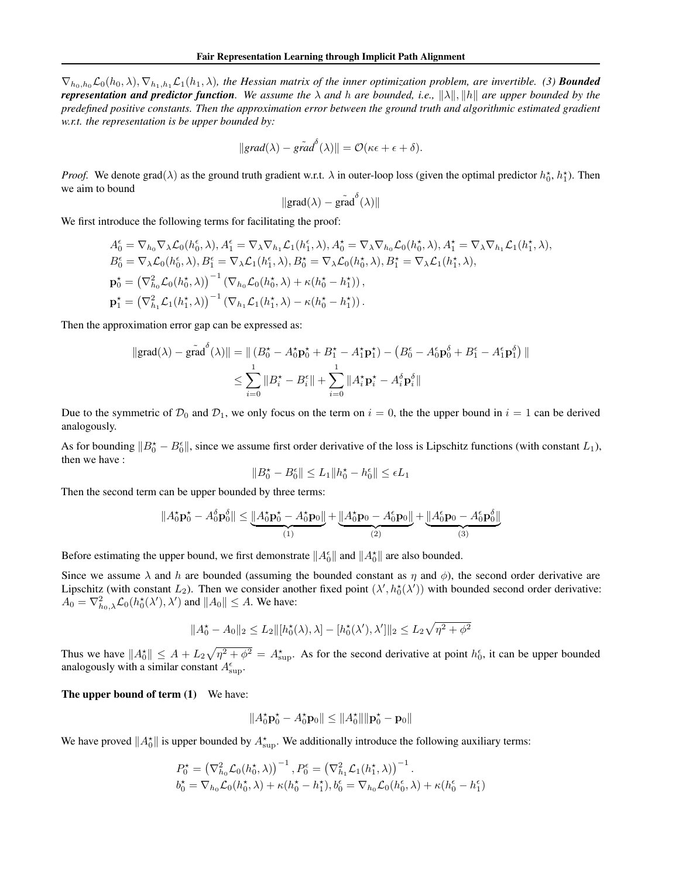$\nabla_{h_0,h_0}\mathcal{L}_0(h_0,\lambda), \nabla_{h_1,h_1}\mathcal{L}_1(h_1,\lambda)$ *, the Hessian matrix of the inner optimization problem, are invertible. (3) Bounded representation and predictor function.* We assume the  $\lambda$  and h are bounded, i.e.,  $\|\lambda\|$ ,  $\|h\|$  are upper bounded by the *predefined positive constants. Then the approximation error between the ground truth and algorithmic estimated gradient w.r.t. the representation is be upper bounded by:*

$$
||grad(\lambda) - \tilde{grad}^{\delta}(\lambda)|| = \mathcal{O}(\kappa \epsilon + \epsilon + \delta).
$$

*Proof.* We denote grad( $\lambda$ ) as the ground truth gradient w.r.t.  $\lambda$  in outer-loop loss (given the optimal predictor  $h_0^*, h_1^*$ ). Then we aim to bound

$$
\|\text{grad}(\lambda) - \tilde{\text{grad}}^{\delta}(\lambda)\|
$$

We first introduce the following terms for facilitating the proof:

$$
A_0^{\epsilon} = \nabla_{h_0} \nabla_{\lambda} \mathcal{L}_0(h_0^{\epsilon}, \lambda), A_1^{\epsilon} = \nabla_{\lambda} \nabla_{h_1} \mathcal{L}_1(h_1^{\epsilon}, \lambda), A_0^{\star} = \nabla_{\lambda} \nabla_{h_0} \mathcal{L}_0(h_0^{\star}, \lambda), A_1^{\star} = \nabla_{\lambda} \nabla_{h_1} \mathcal{L}_1(h_1^{\star}, \lambda),
$$
  
\n
$$
B_0^{\epsilon} = \nabla_{\lambda} \mathcal{L}_0(h_0^{\epsilon}, \lambda), B_1^{\epsilon} = \nabla_{\lambda} \mathcal{L}_1(h_1^{\epsilon}, \lambda), B_0^{\star} = \nabla_{\lambda} \mathcal{L}_0(h_0^{\star}, \lambda), B_1^{\star} = \nabla_{\lambda} \mathcal{L}_1(h_1^{\star}, \lambda),
$$
  
\n
$$
\mathbf{p}_0^{\star} = (\nabla_{h_0}^2 \mathcal{L}_0(h_0^{\star}, \lambda))^{-1} (\nabla_{h_0} \mathcal{L}_0(h_0^{\star}, \lambda) + \kappa(h_0^{\star} - h_1^{\star})),
$$
  
\n
$$
\mathbf{p}_1^{\star} = (\nabla_{h_1}^2 \mathcal{L}_1(h_1^{\star}, \lambda))^{-1} (\nabla_{h_1} \mathcal{L}_1(h_1^{\star}, \lambda) - \kappa(h_0^{\star} - h_1^{\star})).
$$

Then the approximation error gap can be expressed as:

$$
\|\text{grad}(\lambda) - \tilde{\text{grad}}^{\delta}(\lambda)\| = \|\left(B_0^{\star} - A_0^{\star}\mathbf{p}_0^{\star} + B_1^{\star} - A_1^{\star}\mathbf{p}_1^{\star}\right) - \left(B_0^{\epsilon} - A_0^{\epsilon}\mathbf{p}_0^{\delta} + B_1^{\epsilon} - A_1^{\epsilon}\mathbf{p}_1^{\delta}\right)\|
$$
  

$$
\leq \sum_{i=0}^{1} \|B_i^{\star} - B_i^{\epsilon}\| + \sum_{i=0}^{1} \|A_i^{\star}\mathbf{p}_i^{\star} - A_i^{\delta}\mathbf{p}_i^{\delta}\|
$$

Due to the symmetric of  $\mathcal{D}_0$  and  $\mathcal{D}_1$ , we only focus on the term on  $i = 0$ , the the upper bound in  $i = 1$  can be derived analogously.

As for bounding  $||B_0^* - B_0^{\epsilon}||$ , since we assume first order derivative of the loss is Lipschitz functions (with constant  $L_1$ ), then we have :

$$
\|B_0^\star-B_0^\epsilon\|\leq L_1\|h_0^\star-h_0^\epsilon\|\leq \epsilon L_1
$$

Then the second term can be upper bounded by three terms:

$$
||A_0^{\star}\mathbf{p}_0^{\star} - A_0^{\delta}\mathbf{p}_0^{\delta}|| \leq \underbrace{||A_0^{\star}\mathbf{p}_0^{\star} - A_0^{\star}\mathbf{p}_0||}_{(1)} + \underbrace{||A_0^{\star}\mathbf{p}_0 - A_0^{\epsilon}\mathbf{p}_0||}_{(2)} + \underbrace{||A_0^{\epsilon}\mathbf{p}_0 - A_0^{\epsilon}\mathbf{p}_0^{\delta}||}_{(3)}
$$

Before estimating the upper bound, we first demonstrate  $||A_0^{\epsilon}||$  and  $||A_0^{\star}||$  are also bounded.

Since we assume  $\lambda$  and h are bounded (assuming the bounded constant as  $\eta$  and  $\phi$ ), the second order derivative are Lipschitz (with constant  $L_2$ ). Then we consider another fixed point  $(\lambda', h_0^*(\lambda'))$  with bounded second order derivative:  $A_0 = \nabla_{h_0,\lambda}^2 \mathcal{L}_0(h_0^{\star}(\lambda'), \lambda')$  and  $||A_0|| \leq A$ . We have:

$$
||A_0^{\star} - A_0||_2 \le L_2 ||[h_0^{\star}(\lambda), \lambda] - [h_0^{\star}(\lambda'), \lambda']||_2 \le L_2 \sqrt{\eta^2 + \phi^2}
$$

Thus we have  $||A_0^*|| \leq A + L_2 \sqrt{\eta^2 + \phi^2} = A_{\text{sup}}^*$ . As for the second derivative at point  $h_0^{\epsilon}$ , it can be upper bounded analogously with a similar constant  $A_{\sup}^{\epsilon}$ .

The upper bound of term (1) We have:

$$
||A_0^{\star}\mathbf{p}_0^{\star} - A_0^{\star}\mathbf{p}_0|| \leq ||A_0^{\star}|| \|\mathbf{p}_0^{\star} - \mathbf{p}_0\|
$$

We have proved  $||A_0^*||$  is upper bounded by  $A_{\text{sup}}^*$ . We additionally introduce the following auxiliary terms:

$$
P_0^* = \left(\nabla_{h_0}^2 \mathcal{L}_0(h_0^*, \lambda)\right)^{-1}, P_0^\epsilon = \left(\nabla_{h_1}^2 \mathcal{L}_1(h_1^*, \lambda)\right)^{-1}.
$$
  

$$
b_0^* = \nabla_{h_0} \mathcal{L}_0(h_0^*, \lambda) + \kappa (h_0^* - h_1^*), b_0^\epsilon = \nabla_{h_0} \mathcal{L}_0(h_0^\epsilon, \lambda) + \kappa (h_0^\epsilon - h_1^\epsilon)
$$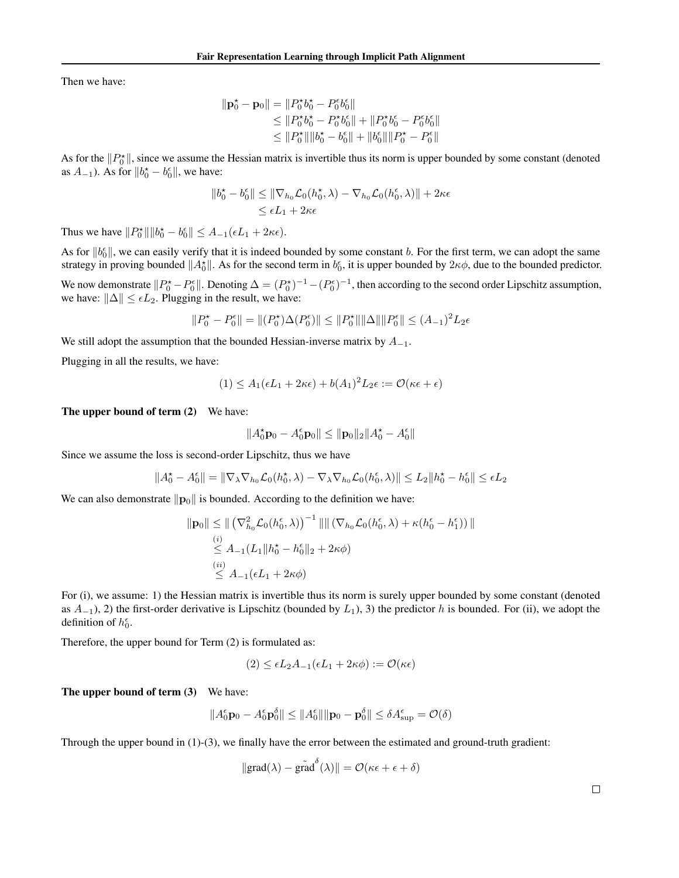Then we have:

$$
\begin{aligned} \|\mathbf{p}_0^{\star} - \mathbf{p}_0\| &= \|P_0^{\star} b_0^{\star} - P_0^{\epsilon} b_0^{\epsilon}\| \\ &\le \|P_0^{\star} b_0^{\star} - P_0^{\star} b_0^{\epsilon}\| + \|P_0^{\star} b_0^{\epsilon} - P_0^{\epsilon} b_0^{\epsilon}\| \\ &\le \|P_0^{\star}\| \|b_0^{\star} - b_0^{\epsilon}\| + \|b_0^{\epsilon}\| \|P_0^{\star} - P_0^{\epsilon}\| \end{aligned}
$$

As for the  $||P_0^*||$ , since we assume the Hessian matrix is invertible thus its norm is upper bounded by some constant (denoted as  $A_{-1}$ ). As for  $||b_0^* - b_0^{\epsilon}||$ , we have:

$$
||b_0^{\star} - b_0^{\epsilon}|| \le ||\nabla_{h_0} \mathcal{L}_0(h_0^{\star}, \lambda) - \nabla_{h_0} \mathcal{L}_0(h_0^{\epsilon}, \lambda)|| + 2\kappa\epsilon
$$
  
\$\leq \epsilon L\_1 + 2\kappa\epsilon\$

Thus we have  $||P_0^{\star}|| ||b_0^{\star} - b_0^{\epsilon}|| \leq A_{-1}(\epsilon L_1 + 2\kappa \epsilon)$ .

As for  $||b_0^{\epsilon}||$ , we can easily verify that it is indeed bounded by some constant b. For the first term, we can adopt the same strategy in proving bounded  $||A_0^*||$ . As for the second term in  $b_0^{\epsilon}$ , it is upper bounded by  $2\kappa\phi$ , due to the bounded predictor.

We now demonstrate  $||P_0^* - P_0^{\epsilon}||$ . Denoting  $\Delta = (P_0^*)^{-1} - (P_0^{\epsilon})^{-1}$ , then according to the second order Lipschitz assumption, we have:  $\|\Delta\| \leq \epsilon L_2$ . Plugging in the result, we have:

$$
||P_0^{\star} - P_0^{\epsilon}|| = ||(P_0^{\star})\Delta(P_0^{\epsilon})|| \le ||P_0^{\star}|| ||\Delta|| ||P_0^{\epsilon}|| \le (A_{-1})^2 L_2 \epsilon
$$

We still adopt the assumption that the bounded Hessian-inverse matrix by  $A_{-1}$ .

Plugging in all the results, we have:

$$
(1) \le A_1(\epsilon L_1 + 2\kappa \epsilon) + b(A_1)^2 L_2 \epsilon := \mathcal{O}(\kappa \epsilon + \epsilon)
$$

The upper bound of term (2) We have:

$$
\|A_0^{\star}\mathbf{p}_0 - A_0^{\epsilon}\mathbf{p}_0\| \le \|\mathbf{p}_0\|_2 \|A_0^{\star} - A_0^{\epsilon}\|
$$

Since we assume the loss is second-order Lipschitz, thus we have

$$
||A_0^{\star}-A_0^{\epsilon}||=||\nabla_{\lambda}\nabla_{h_0}\mathcal{L}_0(h_0^{\star},\lambda)-\nabla_{\lambda}\nabla_{h_0}\mathcal{L}_0(h_0^{\epsilon},\lambda)||\leq L_2||h_0^{\star}-h_0^{\epsilon}||\leq \epsilon L_2
$$

We can also demonstrate  $\|\mathbf{p}_0\|$  is bounded. According to the definition we have:

$$
\|\mathbf{p}_0\| \leq \| (\nabla_{h_0}^2 \mathcal{L}_0(h_0^{\epsilon}, \lambda))^{-1} \| \| (\nabla_{h_0} \mathcal{L}_0(h_0^{\epsilon}, \lambda) + \kappa (h_0^{\epsilon} - h_1^{\epsilon})) \|
$$
  
\n
$$
\leq A_{-1}(L_1 \| h_0^{\star} - h_0^{\epsilon} \|_2 + 2\kappa \phi)
$$
  
\n(i) (ii)  
\n
$$
\leq A_{-1}(\epsilon L_1 + 2\kappa \phi)
$$

For (i), we assume: 1) the Hessian matrix is invertible thus its norm is surely upper bounded by some constant (denoted as  $A_{-1}$ ), 2) the first-order derivative is Lipschitz (bounded by  $L_1$ ), 3) the predictor h is bounded. For (ii), we adopt the definition of  $h_0^{\epsilon}$ .

Therefore, the upper bound for Term (2) is formulated as:

$$
(2) \leq \epsilon L_2 A_{-1}(\epsilon L_1 + 2\kappa \phi) := \mathcal{O}(\kappa \epsilon)
$$

The upper bound of term (3) We have:

$$
||A_0^{\epsilon} \mathbf{p}_0 - A_0^{\epsilon} \mathbf{p}_0^{\delta}|| \le ||A_0^{\epsilon}|| \|\mathbf{p}_0 - \mathbf{p}_0^{\delta}|| \le \delta A_{\sup}^{\epsilon} = \mathcal{O}(\delta)
$$

Through the upper bound in (1)-(3), we finally have the error between the estimated and ground-truth gradient:

$$
\|\text{grad}(\lambda) - \tilde{\text{grad}}^{\delta}(\lambda)\| = \mathcal{O}(\kappa \epsilon + \epsilon + \delta)
$$

 $\Box$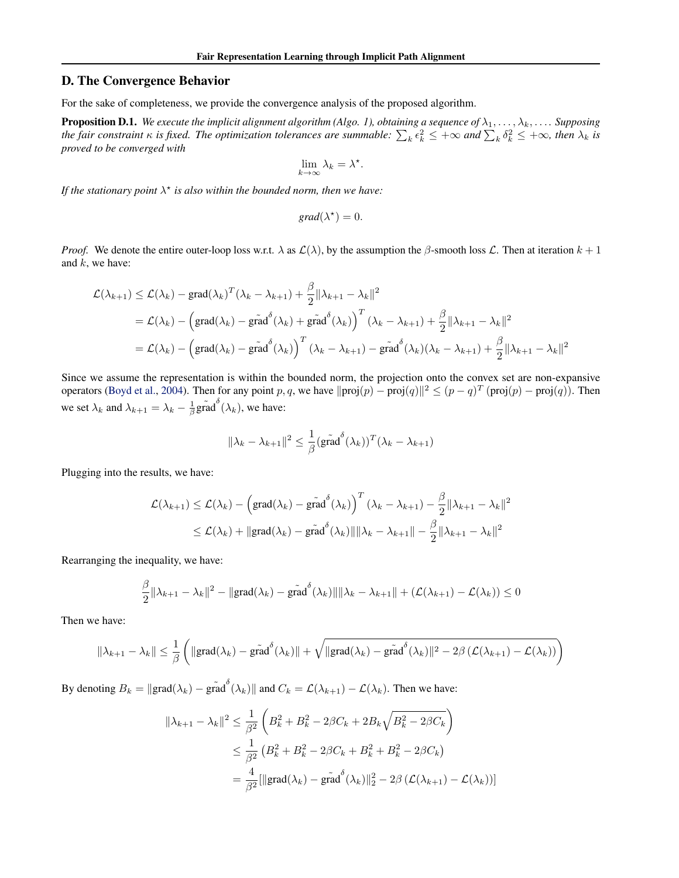## <span id="page-15-0"></span>D. The Convergence Behavior

For the sake of completeness, we provide the convergence analysis of the proposed algorithm.

**Proposition D.1.** We execute the implicit alignment algorithm (Algo. 1), obtaining a sequence of  $\lambda_1, \ldots, \lambda_k, \ldots$ . Supposing the fair constraint  $\kappa$  is fixed. The optimization tolerances are summable:  $\sum_k \epsilon_k^2 \leq +\infty$  and  $\sum_k \delta_k^2 \leq +\infty$ , then  $\lambda_k$  is *proved to be converged with*

$$
\lim_{k \to \infty} \lambda_k = \lambda^*.
$$

If the stationary point  $\lambda^*$  is also within the bounded norm, then we have:

$$
grad(\lambda^*) = 0.
$$

*Proof.* We denote the entire outer-loop loss w.r.t.  $\lambda$  as  $\mathcal{L}(\lambda)$ , by the assumption the  $\beta$ -smooth loss  $\mathcal{L}$ . Then at iteration  $k+1$ and  $k$ , we have:

$$
\mathcal{L}(\lambda_{k+1}) \leq \mathcal{L}(\lambda_k) - \text{grad}(\lambda_k)^T (\lambda_k - \lambda_{k+1}) + \frac{\beta}{2} \|\lambda_{k+1} - \lambda_k\|^2
$$
  
=  $\mathcal{L}(\lambda_k) - \left(\text{grad}(\lambda_k) - \text{grad}^{\delta}(\lambda_k) + \text{grad}^{\delta}(\lambda_k)\right)^T (\lambda_k - \lambda_{k+1}) + \frac{\beta}{2} \|\lambda_{k+1} - \lambda_k\|^2$   
=  $\mathcal{L}(\lambda_k) - \left(\text{grad}(\lambda_k) - \text{grad}^{\delta}(\lambda_k)\right)^T (\lambda_k - \lambda_{k+1}) - \text{grad}^{\delta}(\lambda_k)(\lambda_k - \lambda_{k+1}) + \frac{\beta}{2} \|\lambda_{k+1} - \lambda_k\|^2$ 

Since we assume the representation is within the bounded norm, the projection onto the convex set are non-expansive operators [\(Boyd et al.,](#page-9-22) [2004\)](#page-9-22). Then for any point p, q, we have  $\|\text{proj}(p) - \text{proj}(q)\|^2 \le (p - q)^T (\text{proj}(p) - \text{proj}(q))$ . Then we set  $\lambda_k$  and  $\lambda_{k+1} = \lambda_k - \frac{1}{\beta} \tilde{\text{grad}}^\delta(\lambda_k)$ , we have:

$$
\|\lambda_k - \lambda_{k+1}\|^2 \le \frac{1}{\beta} (\tilde{\text{grad}}^{\delta}(\lambda_k))^T (\lambda_k - \lambda_{k+1})
$$

Plugging into the results, we have:

$$
\mathcal{L}(\lambda_{k+1}) \leq \mathcal{L}(\lambda_k) - \left(\text{grad}(\lambda_k) - \tilde{\text{grad}}^{\delta}(\lambda_k)\right)^T (\lambda_k - \lambda_{k+1}) - \frac{\beta}{2} \|\lambda_{k+1} - \lambda_k\|^2
$$
  

$$
\leq \mathcal{L}(\lambda_k) + \|\text{grad}(\lambda_k) - \tilde{\text{grad}}^{\delta}(\lambda_k)\| \|\lambda_k - \lambda_{k+1}\| - \frac{\beta}{2} \|\lambda_{k+1} - \lambda_k\|^2
$$

Rearranging the inequality, we have:

$$
\frac{\beta}{2} \|\lambda_{k+1} - \lambda_k\|^2 - \|\text{grad}(\lambda_k) - \tilde{\text{grad}}^{\delta}(\lambda_k)\| \|\lambda_k - \lambda_{k+1}\| + (\mathcal{L}(\lambda_{k+1}) - \mathcal{L}(\lambda_k)) \le 0
$$

Then we have:

$$
\|\lambda_{k+1} - \lambda_k\| \leq \frac{1}{\beta} \left( \|\text{grad}(\lambda_k) - \tilde{\text{grad}}^{\delta}(\lambda_k)\| + \sqrt{\|\text{grad}(\lambda_k) - \tilde{\text{grad}}^{\delta}(\lambda_k)\|^2 - 2\beta \left(\mathcal{L}(\lambda_{k+1}) - \mathcal{L}(\lambda_k)\right)} \right)
$$

By denoting  $B_k = ||\text{grad}(\lambda_k) - \tilde{\text{grad}}(\lambda_k)||$  and  $C_k = \mathcal{L}(\lambda_{k+1}) - \mathcal{L}(\lambda_k)$ . Then we have:

$$
\|\lambda_{k+1} - \lambda_k\|^2 \le \frac{1}{\beta^2} \left( B_k^2 + B_k^2 - 2\beta C_k + 2B_k \sqrt{B_k^2 - 2\beta C_k} \right)
$$
  

$$
\le \frac{1}{\beta^2} \left( B_k^2 + B_k^2 - 2\beta C_k + B_k^2 + B_k^2 - 2\beta C_k \right)
$$
  

$$
= \frac{4}{\beta^2} [\|\text{grad}(\lambda_k) - \tilde{\text{grad}}^{\delta}(\lambda_k)\|_2^2 - 2\beta (\mathcal{L}(\lambda_{k+1}) - \mathcal{L}(\lambda_k))]
$$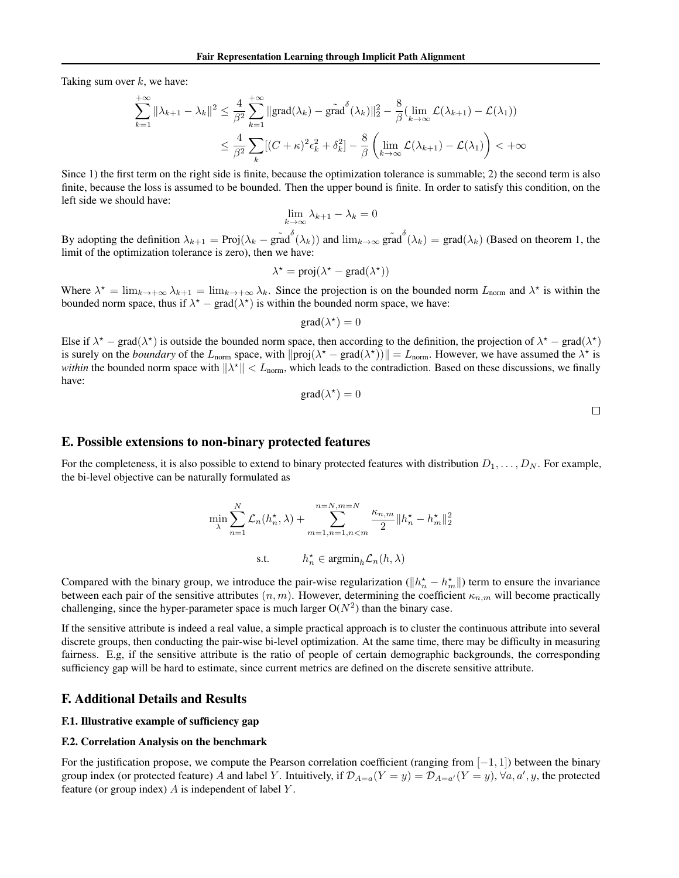Taking sum over  $k$ , we have:

$$
\sum_{k=1}^{+\infty} \|\lambda_{k+1} - \lambda_k\|^2 \le \frac{4}{\beta^2} \sum_{k=1}^{+\infty} \| \text{grad}(\lambda_k) - \tilde{\text{grad}}^{\delta}(\lambda_k) \|_2^2 - \frac{8}{\beta} (\lim_{k \to \infty} \mathcal{L}(\lambda_{k+1}) - \mathcal{L}(\lambda_1))
$$
  

$$
\le \frac{4}{\beta^2} \sum_k [(C + \kappa)^2 \epsilon_k^2 + \delta_k^2] - \frac{8}{\beta} \left( \lim_{k \to \infty} \mathcal{L}(\lambda_{k+1}) - \mathcal{L}(\lambda_1) \right) < +\infty
$$

Since 1) the first term on the right side is finite, because the optimization tolerance is summable; 2) the second term is also finite, because the loss is assumed to be bounded. Then the upper bound is finite. In order to satisfy this condition, on the left side we should have:

$$
\lim_{k \to \infty} \lambda_{k+1} - \lambda_k = 0
$$

By adopting the definition  $\lambda_{k+1} = \text{Proj}(\lambda_k - \tilde{\text{grad}}^{\delta}(\lambda_k))$  and  $\lim_{k \to \infty} \tilde{\text{grad}}^{\delta}(\lambda_k) = \text{grad}(\lambda_k)$  (Based on theorem 1, the limit of the optimization tolerance is zero), then we have:

$$
\lambda^* = \text{proj}(\lambda^* - \text{grad}(\lambda^*))
$$

Where  $\lambda^* = \lim_{k \to +\infty} \lambda_{k+1} = \lim_{k \to +\infty} \lambda_k$ . Since the projection is on the bounded norm  $L_{\text{norm}}$  and  $\lambda^*$  is within the bounded norm space, thus if  $\lambda^* - \text{grad}(\lambda^*)$  is within the bounded norm space, we have:

$$
\text{grad}(\lambda^{\star}) = 0
$$

Else if  $\lambda^*$  – grad( $\lambda^*$ ) is outside the bounded norm space, then according to the definition, the projection of  $\lambda^*$  – grad( $\lambda^*$ ) is surely on the *boundary* of the  $L_{\text{norm}}$  space, with  $\|\text{proj}(\lambda^* - \text{grad}(\lambda^*))\| = L_{\text{norm}}$ . However, we have assumed the  $\lambda^*$  is *within* the bounded norm space with  $\|\lambda^*\| < L_{\text{norm}}$ , which leads to the contradiction. Based on these discussions, we finally have:

$$
\text{grad}(\lambda^\star)=0
$$

## E. Possible extensions to non-binary protected features

For the completeness, it is also possible to extend to binary protected features with distribution  $D_1, \ldots, D_N$ . For example, the bi-level objective can be naturally formulated as

$$
\min_{\lambda} \sum_{n=1}^{N} \mathcal{L}_n(h_n^{\star}, \lambda) + \sum_{m=1, n=1, n < m}^{n=N, m=N} \frac{\kappa_{n,m}}{2} \|h_n^{\star} - h_m^{\star}\|_2^2
$$
\ns.t. 
$$
h_n^{\star} \in \operatorname{argmin}_h \mathcal{L}_n(h, \lambda)
$$

Compared with the binary group, we introduce the pair-wise regularization ( $||h_n^* - h_m^*||$ ) term to ensure the invariance between each pair of the sensitive attributes  $(n, m)$ . However, determining the coefficient  $\kappa_{n,m}$  will become practically challenging, since the hyper-parameter space is much larger  $O(N^2)$  than the binary case.

If the sensitive attribute is indeed a real value, a simple practical approach is to cluster the continuous attribute into several discrete groups, then conducting the pair-wise bi-level optimization. At the same time, there may be difficulty in measuring fairness. E.g, if the sensitive attribute is the ratio of people of certain demographic backgrounds, the corresponding sufficiency gap will be hard to estimate, since current metrics are defined on the discrete sensitive attribute.

#### F. Additional Details and Results

## F.1. Illustrative example of sufficiency gap

#### F.2. Correlation Analysis on the benchmark

For the justification propose, we compute the Pearson correlation coefficient (ranging from  $[-1, 1]$ ) between the binary group index (or protected feature) A and label Y. Intuitively, if  $\mathcal{D}_{A=a}(Y=y) = \mathcal{D}_{A=a'}(Y=y)$ ,  $\forall a, a', y$ , the protected feature (or group index)  $\ddot{A}$  is independent of label  $\ddot{Y}$ .

 $\Box$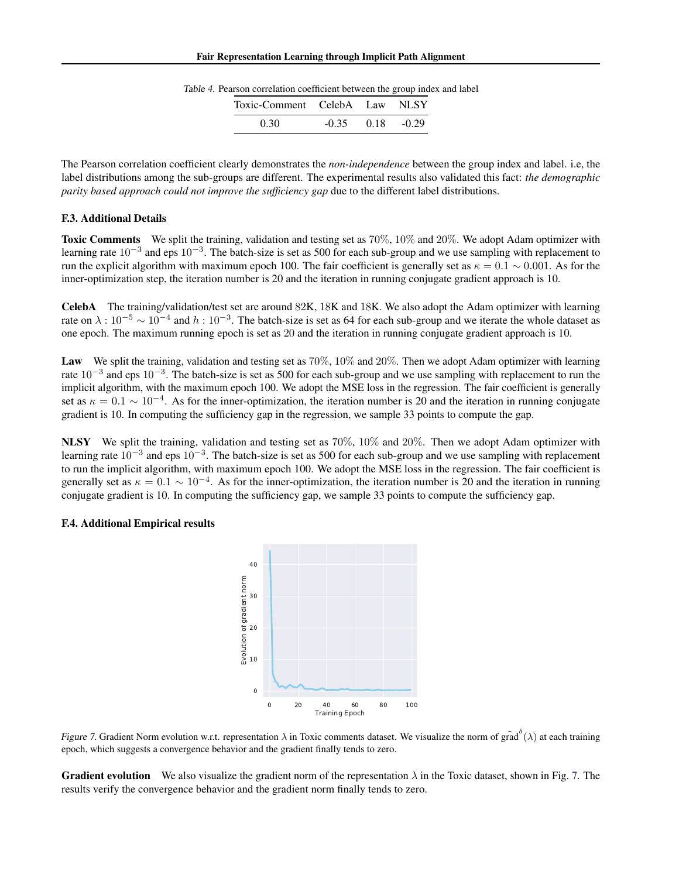| Toxic-Comment CelebA Law NLSY |         |               |
|-------------------------------|---------|---------------|
| 0.30                          | $-0.35$ | $0.18 - 0.29$ |

Table 4. Pearson correlation coefficient between the group index and label

The Pearson correlation coefficient clearly demonstrates the *non-independence* between the group index and label. i.e, the label distributions among the sub-groups are different. The experimental results also validated this fact: *the demographic parity based approach could not improve the sufficiency gap* due to the different label distributions.

## F.3. Additional Details

Toxic Comments We split the training, validation and testing set as  $70\%$ ,  $10\%$  and  $20\%$ . We adopt Adam optimizer with learning rate  $10^{-3}$  and eps  $10^{-3}$ . The batch-size is set as 500 for each sub-group and we use sampling with replacement to run the explicit algorithm with maximum epoch 100. The fair coefficient is generally set as  $\kappa = 0.1 \sim 0.001$ . As for the inner-optimization step, the iteration number is 20 and the iteration in running conjugate gradient approach is 10.

CelebA The training/validation/test set are around 82K, 18K and 18K. We also adopt the Adam optimizer with learning rate on  $\lambda:10^{-5}\sim10^{-4}$  and  $h:10^{-3}$ . The batch-size is set as 64 for each sub-group and we iterate the whole dataset as one epoch. The maximum running epoch is set as 20 and the iteration in running conjugate gradient approach is 10.

Law We split the training, validation and testing set as 70%, 10% and 20%. Then we adopt Adam optimizer with learning rate  $10^{-3}$  and eps  $10^{-3}$ . The batch-size is set as 500 for each sub-group and we use sampling with replacement to run the implicit algorithm, with the maximum epoch 100. We adopt the MSE loss in the regression. The fair coefficient is generally set as  $\kappa = 0.1 \sim 10^{-4}$ . As for the inner-optimization, the iteration number is 20 and the iteration in running conjugate gradient is 10. In computing the sufficiency gap in the regression, we sample 33 points to compute the gap.

NLSY We split the training, validation and testing set as  $70\%$ ,  $10\%$  and  $20\%$ . Then we adopt Adam optimizer with learning rate  $10^{-3}$  and eps  $10^{-3}$ . The batch-size is set as 500 for each sub-group and we use sampling with replacement to run the implicit algorithm, with maximum epoch 100. We adopt the MSE loss in the regression. The fair coefficient is generally set as  $\kappa = 0.1 \sim 10^{-4}$ . As for the inner-optimization, the iteration number is 20 and the iteration in running conjugate gradient is 10. In computing the sufficiency gap, we sample 33 points to compute the sufficiency gap.

#### F.4. Additional Empirical results

<span id="page-17-0"></span>



**Gradient evolution** We also visualize the gradient norm of the representation  $\lambda$  in the Toxic dataset, shown in Fig. [7.](#page-17-0) The results verify the convergence behavior and the gradient norm finally tends to zero.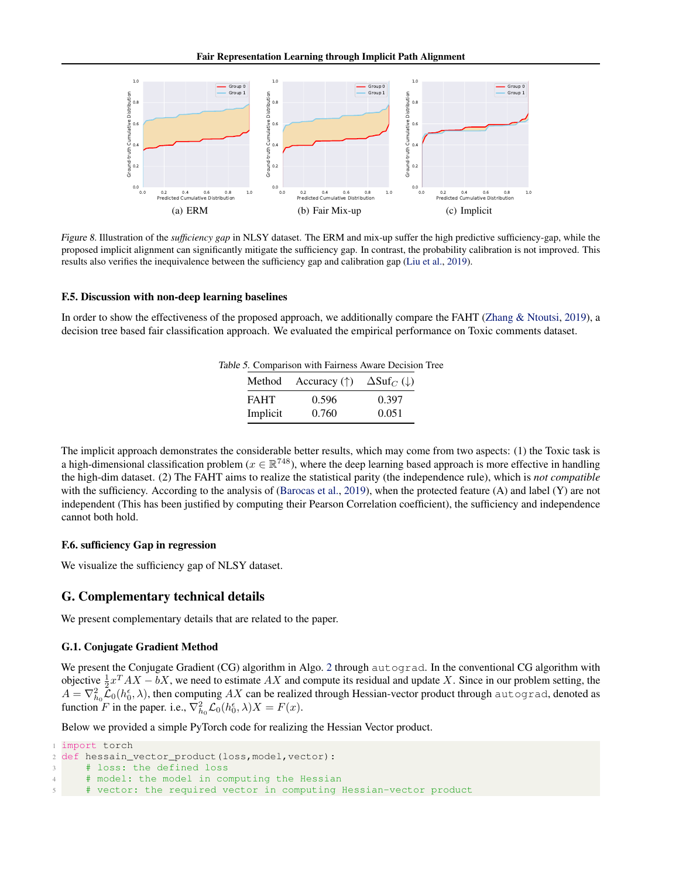Fair Representation Learning through Implicit Path Alignment



Figure 8. Illustration of the *sufficiency gap* in NLSY dataset. The ERM and mix-up suffer the high predictive sufficiency-gap, while the proposed implicit alignment can significantly mitigate the sufficiency gap. In contrast, the probability calibration is not improved. This results also verifies the inequivalence between the sufficiency gap and calibration gap [\(Liu et al.,](#page-10-6) [2019\)](#page-10-6).

#### F.5. Discussion with non-deep learning baselines

In order to show the effectiveness of the proposed approach, we additionally compare the FAHT [\(Zhang & Ntoutsi,](#page-10-22) [2019\)](#page-10-22), a decision tree based fair classification approach. We evaluated the empirical performance on Toxic comments dataset.

<span id="page-18-0"></span>

|             |                                                       | Table 5. Comparison with Fairness Aware Decision Tree |
|-------------|-------------------------------------------------------|-------------------------------------------------------|
|             | Method Accuracy (†) $\Delta \text{Suf}_C(\downarrow)$ |                                                       |
| <b>FAHT</b> | 0.596                                                 | 0.397                                                 |
| Implicit    | 0.760                                                 | 0.051                                                 |

The implicit approach demonstrates the considerable better results, which may come from two aspects: (1) the Toxic task is a high-dimensional classification problem ( $x \in \mathbb{R}^{748}$ ), where the deep learning based approach is more effective in handling the high-dim dataset. (2) The FAHT aims to realize the statistical parity (the independence rule), which is *not compatible* with the sufficiency. According to the analysis of [\(Barocas et al.,](#page-9-9) [2019\)](#page-9-9), when the protected feature (A) and label (Y) are not independent (This has been justified by computing their Pearson Correlation coefficient), the sufficiency and independence cannot both hold.

#### F.6. sufficiency Gap in regression

We visualize the sufficiency gap of NLSY dataset.

### G. Complementary technical details

We present complementary details that are related to the paper.

## G.1. Conjugate Gradient Method

We present the Conjugate Gradient (CG) algorithm in Algo. [2](#page-19-0) through autograd. In the conventional CG algorithm with objective  $\frac{1}{2}x^T A X - bX$ , we need to estimate AX and compute its residual and update X. Since in our problem setting, the  $A = \nabla_{h_0}^2 \mathcal{L}_0(h_0^{\epsilon}, \lambda)$ , then computing AX can be realized through Hessian-vector product through autograd, denoted as function F in the paper. i.e.,  $\nabla_{h_0}^2 \mathcal{L}_0(h_0^{\epsilon}, \lambda)X = F(x)$ .

Below we provided a simple PyTorch code for realizing the Hessian Vector product.

```
import torch
2 def hessain_vector_product(loss,model,vector):
3 # loss: the defined loss
4 # model: the model in computing the Hessian
     # vector: the required vector in computing Hessian-vector product
```